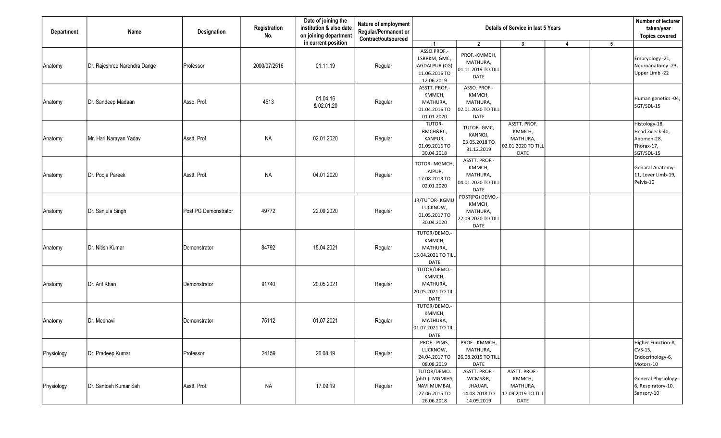| Department | Name                         | Designation          | Registration<br>No. | Date of joining the<br>institution & also date<br>on joining department | Nature of employment<br>Regular/Permanent or<br>Contract/outsourced | Details of Service in last 5 Years                                             |                                                                           |                                                                    |   |                 | Number of lecturer<br>taken/year<br><b>Topics covered</b>                  |
|------------|------------------------------|----------------------|---------------------|-------------------------------------------------------------------------|---------------------------------------------------------------------|--------------------------------------------------------------------------------|---------------------------------------------------------------------------|--------------------------------------------------------------------|---|-----------------|----------------------------------------------------------------------------|
|            |                              |                      |                     | in current position                                                     |                                                                     | $\overline{1}$                                                                 | $\overline{2}$                                                            | $\mathbf{3}$                                                       | 4 | $5\overline{5}$ |                                                                            |
| Anatomy    | Dr. Rajeshree Narendra Dange | Professor            | 2000/07/2516        | 01.11.19                                                                | Regular                                                             | ASSO.PROF .-<br>LSBRKM, GMC,<br>JAGDALPUR (CG),<br>11.06.2016 TO<br>12.06.2019 | PROF.-KMMCH,<br>MATHURA,<br>01.11.2019 TO TILL<br><b>DATE</b>             |                                                                    |   |                 | Embryology -21,<br>Neuroanatomy -23,<br>Upper Limb -22                     |
| Anatomy    | Dr. Sandeep Madaan           | Asso. Prof.          | 4513                | 01.04.16<br>& 02.01.20                                                  | Regular                                                             | ASSTT. PROF .-<br>KMMCH,<br>MATHURA,<br>01.04.2016 TO<br>01.01.2020            | ASSO. PROF .-<br>KMMCH,<br>MATHURA,<br>02.01.2020 TO TILL<br>DATE         |                                                                    |   |                 | Human genetics -04,<br>SGT/SDL-15                                          |
| Anatomy    | Mr. Hari Narayan Yadav       | Asstt. Prof.         | <b>NA</b>           | 02.01.2020                                                              | Regular                                                             | TUTOR-<br>RMCH&RC,<br>KANPUR,<br>01.09.2016 TO<br>30.04.2018                   | TUTOR- GMC,<br>KANNOJ,<br>03.05.2018 TO<br>31.12.2019                     | ASSTT. PROF.<br>KMMCH,<br>MATHURA,<br>02.01.2020 TO TILL<br>DATE   |   |                 | Histology-18,<br>Head Zxleck-40,<br>Abomen-28,<br>Thorax-17,<br>SGT/SDL-15 |
| Anatomy    | Dr. Pooja Pareek             | Asstt. Prof.         | <b>NA</b>           | 04.01.2020                                                              | Regular                                                             | TOTOR-MGMCH,<br>JAIPUR,<br>17.08.2013 TO<br>02.01.2020                         | ASSTT. PROF .-<br>KMMCH,<br>MATHURA,<br>04.01.2020 TO TILL<br><b>DATE</b> |                                                                    |   |                 | Genaral Anatomy-<br>11, Lover Limb-19,<br>Pelvis-10                        |
| Anatomy    | Dr. Sanjula Singh            | Post PG Demonstrator | 49772               | 22.09.2020                                                              | Regular                                                             | JR/TUTOR-KGMU<br>LUCKNOW,<br>01.05.2017 TO<br>30.04.2020                       | POST(PG) DEMO .-<br>KMMCH,<br>MATHURA,<br>22.09.2020 TO TILL<br>DATE      |                                                                    |   |                 |                                                                            |
| Anatomy    | Dr. Nitish Kumar             | Demonstrator         | 84792               | 15.04.2021                                                              | Regular                                                             | TUTOR/DEMO.-<br>KMMCH,<br>MATHURA,<br>15.04.2021 TO TILL<br>DATE               |                                                                           |                                                                    |   |                 |                                                                            |
| Anatomy    | Dr. Arif Khan                | Demonstrator         | 91740               | 20.05.2021                                                              | Regular                                                             | TUTOR/DEMO.-<br>KMMCH,<br>MATHURA,<br>20.05.2021 TO TILL<br><b>DATE</b>        |                                                                           |                                                                    |   |                 |                                                                            |
| Anatomy    | Dr. Medhavi                  | Demonstrator         | 75112               | 01.07.2021                                                              | Regular                                                             | TUTOR/DEMO.-<br>KMMCH,<br>MATHURA,<br>01.07.2021 TO TILL<br>DATE               |                                                                           |                                                                    |   |                 |                                                                            |
| Physiology | Dr. Pradeep Kumar            | Professor            | 24159               | 26.08.19                                                                | Regular                                                             | PROF.- PIMS,<br>LUCKNOW,<br>24.04.2017 TO<br>08.08.2019                        | PROF.- KMMCH,<br>MATHURA,<br>26.08.2019 TO TILL<br>DATE                   |                                                                    |   |                 | Higher Function-8,<br>$\textsf{CVS-15},$<br>Endocrinology-6,<br>Motors-10  |
| Physiology | Dr. Santosh Kumar Sah        | Asstt. Prof.         | <b>NA</b>           | 17.09.19                                                                | Regular                                                             | TUTOR/DEMO.<br>(phD.)- MGMIHS,<br>NAVI MUMBAI,<br>27.06.2015 TO<br>26.06.2018  | ASSTT. PROF .-<br>WCMS&R,<br>JHAJJAR,<br>14.08.2018 TO<br>14.09.2019      | ASSTT. PROF .-<br>KMMCH,<br>MATHURA,<br>17.09.2019 TO TILL<br>DATE |   |                 | General Physiology-<br>6, Respiratory-10,<br>Sensory-10                    |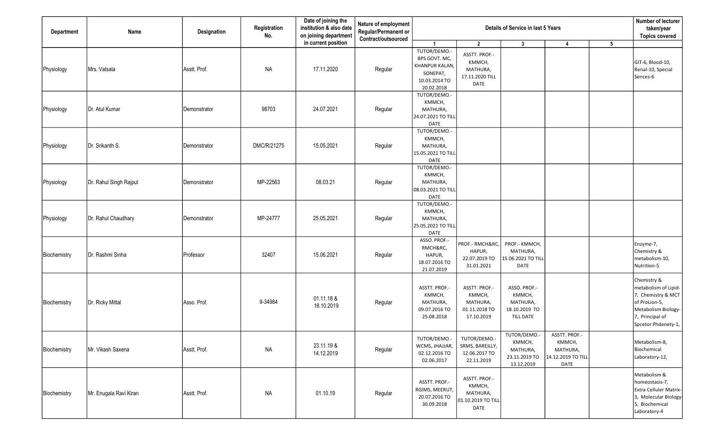| <b>Department</b> | Name                   | Designation  | Registration<br>No. | Date of joining the<br>institution & also date<br>on joining department | Nature of employment<br>Regular/Permanent or<br>Contract/outsourced |                                                                                             |                                                                    | Details of Service in last 5 Years                                      |                                                                    |                 | Number of lecturer<br>taken/year<br><b>Topics covered</b>                                                                                   |
|-------------------|------------------------|--------------|---------------------|-------------------------------------------------------------------------|---------------------------------------------------------------------|---------------------------------------------------------------------------------------------|--------------------------------------------------------------------|-------------------------------------------------------------------------|--------------------------------------------------------------------|-----------------|---------------------------------------------------------------------------------------------------------------------------------------------|
|                   |                        |              |                     | in current position                                                     |                                                                     |                                                                                             | $\overline{2}$                                                     | $\mathbf{3}$                                                            | $\overline{4}$                                                     | $5\phantom{.0}$ |                                                                                                                                             |
| Physiology        | Mrs. Vatsala           | Asstt. Prof. | <b>NA</b>           | 17.11.2020                                                              | Regular                                                             | TUTOR/DEMO .-<br>BPS GOVT. MC,<br>KHANPUR KALAN,<br>SONEPAT,<br>10.03.2014 TO<br>20.02.2018 | ASSTT. PROF.-<br>KMMCH,<br>MATHURA,<br>17.11.2020 TILL<br>DATE     |                                                                         |                                                                    |                 | GIT-6, Blood-10,<br>Renal-10, Special<br>Sences-6                                                                                           |
| Physiology        | Dr. Atul Kumar         | Demonstrator | 98703               | 24.07.2021                                                              | Regular                                                             | TUTOR/DEMO .-<br>KMMCH,<br>MATHURA,<br>24.07.2021 TO TILL<br>DATE                           |                                                                    |                                                                         |                                                                    |                 |                                                                                                                                             |
| Physiology        | Dr. Srikanth S.        | Demonstrator | DMC/R/21275         | 15.05.2021                                                              | Regular                                                             | TUTOR/DEMO.-<br>KMMCH,<br>MATHURA,<br>15.05.2021 TO TILL<br>DATE                            |                                                                    |                                                                         |                                                                    |                 |                                                                                                                                             |
| Physiology        | Dr. Rahul Singh Rajput | Demonstrator | MP-22563            | 08.03.21                                                                | Regular                                                             | TUTOR/DEMO .-<br>KMMCH,<br>MATHURA,<br>08.03.2021 TO TILL<br>DATE                           |                                                                    |                                                                         |                                                                    |                 |                                                                                                                                             |
| Physiology        | Dr. Rahul Chaudhary    | Demonstrator | MP-24777            | 25.05.2021                                                              | Regular                                                             | TUTOR/DEMO .-<br>KMMCH,<br>MATHURA,<br>25.05.2021 TO TILL<br>DATE                           |                                                                    |                                                                         |                                                                    |                 |                                                                                                                                             |
| Biochemistry      | Dr. Rashmi Sinha       | Professor    | 32407               | 15.06.2021                                                              | Regular                                                             | ASSO. PROF .-<br>RMCH&RC,<br>HAPUR,<br>18.07.2016 TO<br>21.07.2019                          | PROF.- RMCH&RC,<br>HAPUR,<br>22.07.2019 TO<br>31.01.2021           | PROF .- KMMCH,<br>MATHURA,<br>15.06.2021 TO TILL<br>DATE                |                                                                    |                 | Enzyme-7,<br>Chemistry &<br>metabolism-10,<br>Nutrition-5                                                                                   |
| Biochemistry      | Dr. Ricky Mittal       | Asso. Prof.  | 9-34984             | 01.11.18 &<br>18.10.2019                                                | Regular                                                             | ASSTT. PROF.-<br>KMMCH,<br>MATHURA,<br>09.07.2016 TO<br>25.08.2018                          | ASSTT. PROF.-<br>KMMCH,<br>MATHURA,<br>01.11.2018 TO<br>17.10.2019 | ASSO. PROF.-<br>KMMCH,<br>MATHURA,<br>18.10.2019 TO<br><b>TILL DATE</b> |                                                                    |                 | Chemistry &<br>metabolism of Lipid-<br>7, Chemistry & MCT<br>of ProLion-5,<br>Metabolism Biology-<br>7, Principal of<br>Spcetor Phdenety-1, |
| Biochemistry      | Mr. Vikash Saxena      | Asstt. Prof. | <b>NA</b>           | 23.11.19 &<br>14.12.2019                                                | Regular                                                             | TUTOR/DEMO .-<br>WCMS, JHAJJAR,<br>02.12.2016 TO<br>02.06.2017                              | TUTOR/DEMO.-<br>SRMS, BAREILLY,<br>12.06.2017 TO<br>22.11.2019     | TUTOR/DEMO.-<br>KMMCH,<br>MATHURA,<br>23.11.2019 TO<br>13.12.2019       | ASSTT. PROF .-<br>KMMCH,<br>MATHURA,<br>14.12.2019 TO TILL<br>DATE |                 | Metabolism-8,<br>Biochemical<br>Laboratory-12,                                                                                              |
| Biochemistry      | Mr. Enugala Ravi Kiran | Asstt. Prof. | <b>NA</b>           | 01.10.19                                                                | Regular                                                             | ASSTT. PROF .-<br>RGIMS, MEERUT,<br>20.07.2016 TO<br>30.09.2018                             | ASSTT. PROF.-<br>KMMCH,<br>MATHURA,<br>01.10.2019 TO TILL<br>DATE  |                                                                         |                                                                    |                 | Metabolism &<br>homeostasis-7,<br>Extra Celluler Matrix-<br>3, Molecular Biology-<br>5, Biochemical<br>Laboratory-4                         |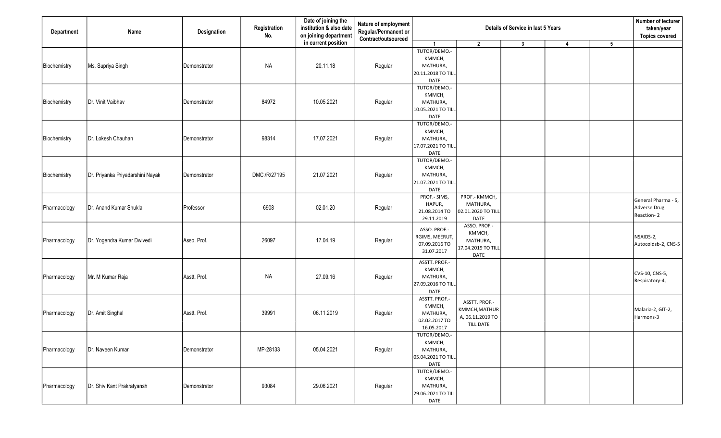| Department   | Name                             | Designation  | Registration<br>No. | Date of joining the<br>institution & also date<br>on joining department | Nature of employment<br>Regular/Permanent or<br>Contract/outsourced |                    |                         | Details of Service in last 5 Years |                |                 | Number of lecturer<br>taken/year<br><b>Topics covered</b> |
|--------------|----------------------------------|--------------|---------------------|-------------------------------------------------------------------------|---------------------------------------------------------------------|--------------------|-------------------------|------------------------------------|----------------|-----------------|-----------------------------------------------------------|
|              |                                  |              |                     | in current position                                                     |                                                                     |                    | $\overline{2}$          | $\mathbf{3}$                       | $\overline{4}$ | $5\overline{5}$ |                                                           |
|              |                                  |              |                     |                                                                         |                                                                     | TUTOR/DEMO.-       |                         |                                    |                |                 |                                                           |
|              |                                  |              |                     |                                                                         |                                                                     | KMMCH,             |                         |                                    |                |                 |                                                           |
| Biochemistry | Ms. Supriya Singh                | Demonstrator | <b>NA</b>           | 20.11.18                                                                | Regular                                                             | MATHURA,           |                         |                                    |                |                 |                                                           |
|              |                                  |              |                     |                                                                         |                                                                     | 20.11.2018 TO TILL |                         |                                    |                |                 |                                                           |
|              |                                  |              |                     |                                                                         |                                                                     | DATE               |                         |                                    |                |                 |                                                           |
|              |                                  |              |                     |                                                                         |                                                                     | TUTOR/DEMO.-       |                         |                                    |                |                 |                                                           |
|              |                                  |              |                     |                                                                         |                                                                     | KMMCH,             |                         |                                    |                |                 |                                                           |
| Biochemistry | Dr. Vinit Vaibhav                | Demonstrator | 84972               | 10.05.2021                                                              | Regular                                                             | MATHURA,           |                         |                                    |                |                 |                                                           |
|              |                                  |              |                     |                                                                         |                                                                     | 10.05.2021 TO TILL |                         |                                    |                |                 |                                                           |
|              |                                  |              |                     |                                                                         |                                                                     | DATE               |                         |                                    |                |                 |                                                           |
|              |                                  |              |                     |                                                                         |                                                                     | TUTOR/DEMO.-       |                         |                                    |                |                 |                                                           |
|              |                                  |              |                     |                                                                         |                                                                     | KMMCH,             |                         |                                    |                |                 |                                                           |
| Biochemistry | Dr. Lokesh Chauhan               | Demonstrator | 98314               | 17.07.2021                                                              | Regular                                                             | MATHURA,           |                         |                                    |                |                 |                                                           |
|              |                                  |              |                     |                                                                         |                                                                     | 17.07.2021 TO TILL |                         |                                    |                |                 |                                                           |
|              |                                  |              |                     |                                                                         |                                                                     | DATE               |                         |                                    |                |                 |                                                           |
|              |                                  |              |                     |                                                                         |                                                                     | TUTOR/DEMO.-       |                         |                                    |                |                 |                                                           |
|              |                                  |              |                     |                                                                         |                                                                     | KMMCH,             |                         |                                    |                |                 |                                                           |
| Biochemistry | Dr. Priyanka Priyadarshini Nayak | Demonstrator | DMC./R/27195        | 21.07.2021                                                              | Regular                                                             | MATHURA,           |                         |                                    |                |                 |                                                           |
|              |                                  |              |                     |                                                                         |                                                                     | 21.07.2021 TO TILL |                         |                                    |                |                 |                                                           |
|              |                                  |              |                     |                                                                         |                                                                     | DATE               |                         |                                    |                |                 |                                                           |
|              |                                  |              |                     |                                                                         |                                                                     | PROF.- SIMS,       | PROF.- KMMCH,           |                                    |                |                 | General Pharma - 5,                                       |
| Pharmacology | Dr. Anand Kumar Shukla           | Professor    | 6908                | 02.01.20                                                                | Regular                                                             | HAPUR,             | MATHURA,                |                                    |                |                 | Adverse Drug                                              |
|              |                                  |              |                     |                                                                         |                                                                     | 21.08.2014 TO      | 02.01.2020 TO TILL      |                                    |                |                 | Reaction-2                                                |
|              |                                  |              |                     |                                                                         |                                                                     | 29.11.2019         | DATE                    |                                    |                |                 |                                                           |
|              |                                  |              |                     |                                                                         |                                                                     | ASSO. PROF .-      | ASSO. PROF .-<br>KMMCH, |                                    |                |                 |                                                           |
|              | Dr. Yogendra Kumar Dwivedi       | Asso. Prof.  | 26097               | 17.04.19                                                                |                                                                     | RGIMS, MEERUT,     | MATHURA,                |                                    |                |                 | NSAIDS-2,                                                 |
| Pharmacology |                                  |              |                     |                                                                         | Regular                                                             | 07.09.2016 TO      | 17.04.2019 TO TILL      |                                    |                |                 | Autocoidsb-2, CNS-5                                       |
|              |                                  |              |                     |                                                                         |                                                                     | 31.07.2017         | DATE                    |                                    |                |                 |                                                           |
|              |                                  |              |                     |                                                                         |                                                                     | ASSTT. PROF .-     |                         |                                    |                |                 |                                                           |
|              |                                  |              |                     |                                                                         |                                                                     | KMMCH,             |                         |                                    |                |                 |                                                           |
| Pharmacology | Mr. M Kumar Raja                 | Asstt. Prof. | <b>NA</b>           | 27.09.16                                                                | Regular                                                             | MATHURA,           |                         |                                    |                |                 | CVS-10, CNS-5,                                            |
|              |                                  |              |                     |                                                                         |                                                                     | 27.09.2016 TO TILL |                         |                                    |                |                 | Respiratory-4,                                            |
|              |                                  |              |                     |                                                                         |                                                                     | DATE               |                         |                                    |                |                 |                                                           |
|              |                                  |              |                     |                                                                         |                                                                     | ASSTT. PROF .-     |                         |                                    |                |                 |                                                           |
|              |                                  |              |                     |                                                                         |                                                                     | KMMCH,             | ASSTT. PROF.-           |                                    |                |                 |                                                           |
| Pharmacology | Dr. Amit Singhal                 | Asstt. Prof. | 39991               | 06.11.2019                                                              | Regular                                                             | MATHURA,           | KMMCH, MATHUR           |                                    |                |                 | Malaria-2, GIT-2,                                         |
|              |                                  |              |                     |                                                                         |                                                                     | 02.02.2017 TO      | A, 06.11.2019 TO        |                                    |                |                 | Harmons-3                                                 |
|              |                                  |              |                     |                                                                         |                                                                     | 16.05.2017         | <b>TILL DATE</b>        |                                    |                |                 |                                                           |
|              |                                  |              |                     |                                                                         |                                                                     | TUTOR/DEMO .-      |                         |                                    |                |                 |                                                           |
|              |                                  |              |                     |                                                                         |                                                                     | KMMCH,             |                         |                                    |                |                 |                                                           |
| Pharmacology | Dr. Naveen Kumar                 | Demonstrator | MP-28133            | 05.04.2021                                                              | Regular                                                             | MATHURA,           |                         |                                    |                |                 |                                                           |
|              |                                  |              |                     |                                                                         |                                                                     | 05.04.2021 TO TILL |                         |                                    |                |                 |                                                           |
|              |                                  |              |                     |                                                                         |                                                                     | DATE               |                         |                                    |                |                 |                                                           |
|              |                                  |              |                     |                                                                         |                                                                     | TUTOR/DEMO .-      |                         |                                    |                |                 |                                                           |
|              |                                  |              |                     |                                                                         |                                                                     | KMMCH,             |                         |                                    |                |                 |                                                           |
| Pharmacology | Dr. Shiv Kant Prakratyansh       | Demonstrator | 93084               | 29.06.2021                                                              | Regular                                                             | MATHURA,           |                         |                                    |                |                 |                                                           |
|              |                                  |              |                     |                                                                         |                                                                     | 29.06.2021 TO TILL |                         |                                    |                |                 |                                                           |
|              |                                  |              |                     |                                                                         |                                                                     | <b>DATE</b>        |                         |                                    |                |                 |                                                           |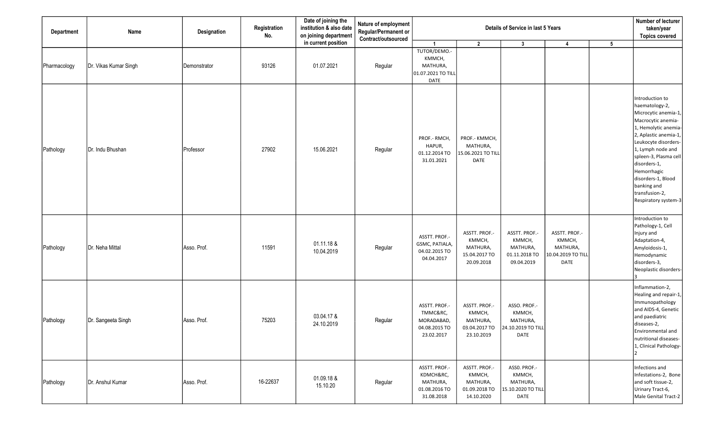| Department   | Name                  | Designation  | Registration<br>No. | Date of joining the<br>institution & also date<br>on joining department | Nature of employment<br>Regular/Permanent or<br>Contract/outsourced | Details of Service in last 5 Years<br>5<br>$\mathbf{2}$<br>$\mathbf{3}$<br>4 |                                                                     |                                                                    | Number of lecturer<br>taken/year<br><b>Topics covered</b>                 |                                                                                                                                                                                                                                                                                                                      |
|--------------|-----------------------|--------------|---------------------|-------------------------------------------------------------------------|---------------------------------------------------------------------|------------------------------------------------------------------------------|---------------------------------------------------------------------|--------------------------------------------------------------------|---------------------------------------------------------------------------|----------------------------------------------------------------------------------------------------------------------------------------------------------------------------------------------------------------------------------------------------------------------------------------------------------------------|
| Pharmacology | Dr. Vikas Kumar Singh | Demonstrator | 93126               | in current position<br>01.07.2021                                       | Regular                                                             | TUTOR/DEMO .-<br>KMMCH,<br>MATHURA,<br>01.07.2021 TO TILL<br>DATE            |                                                                     |                                                                    |                                                                           |                                                                                                                                                                                                                                                                                                                      |
| Pathology    | Dr. Indu Bhushan      | Professor    | 27902               | 15.06.2021                                                              | Regular                                                             | PROF.- RMCH,<br>HAPUR,<br>01.12.2014 TO<br>31.01.2021                        | PROF.- KMMCH,<br>MATHURA,<br>15.06.2021 TO TILL<br>DATE             |                                                                    |                                                                           | Introduction to<br>haematology-2,<br>Microcytic anemia-1,<br>Macrocytic anemia-<br>1, Hemolytic anemia-<br>2, Aplastic anemia-1,<br>Leukocyte disorders-<br>1, Lymph node and<br>spleen-3, Plasma cell<br>disorders-1,<br>Hemorrhagic<br>disorders-1, Blood<br>banking and<br>transfusion-2,<br>Respiratory system-3 |
| Pathology    | Dr. Neha Mittal       | Asso. Prof.  | 11591               | 01.11.18 &<br>10.04.2019                                                | Regular                                                             | ASSTT. PROF .-<br>GSMC, PATIALA,<br>04.02.2015 TO<br>04.04.2017              | ASSTT. PROF.-<br>KMMCH,<br>MATHURA,<br>15.04.2017 TO<br>20.09.2018  | ASSTT. PROF.-<br>KMMCH,<br>MATHURA,<br>01.11.2018 TO<br>09.04.2019 | ASSTT. PROF .-<br>KMMCH,<br>MATHURA,<br>10.04.2019 TO TILL<br><b>DATE</b> | Introduction to<br>Pathology-1, Cell<br>Injury and<br>Adaptation-4,<br>Amyloidosis-1,<br>Hemodynamic<br>disorders-3,<br>Neoplastic disorders-                                                                                                                                                                        |
| Pathology    | Dr. Sangeeta Singh    | Asso. Prof.  | 75203               | 03.04.17 &<br>24.10.2019                                                | Regular                                                             | ASSTT. PROF .-<br>TMMC&RC,<br>MORADABAD,<br>04.08.2015 TO<br>23.02.2017      | ASSTT. PROF.-<br>KMMCH,<br>MATHURA,<br>03.04.2017 TO<br>23.10.2019  | ASSO. PROF.-<br>KMMCH,<br>MATHURA,<br>24.10.2019 TO TILL<br>DATE   |                                                                           | Inflammation-2,<br>Healing and repair-1,<br>Immunopathology<br>and AIDS-4, Genetic<br>and paediatric<br>diseases-2,<br>Environmental and<br>Inutritional diseases-<br>1, Clinical Pathology-                                                                                                                         |
| Pathology    | Dr. Anshul Kumar      | Asso. Prof.  | 16-22637            | 01.09.18 &<br>15.10.20                                                  | Regular                                                             | ASSTT. PROF.-<br>KDMCH&RC,<br>MATHURA,<br>01.08.2016 TO<br>31.08.2018        | ASSTT. PROF .-<br>KMMCH,<br>MATHURA,<br>01.09.2018 TO<br>14.10.2020 | ASSO. PROF .-<br>KMMCH,<br>MATHURA,<br>15.10.2020 TO TILL<br>DATE  |                                                                           | Infections and<br>Infestations-2, Bone<br>and soft tissue-2,<br>Urinary Tract-6,<br>Male Genital Tract-2                                                                                                                                                                                                             |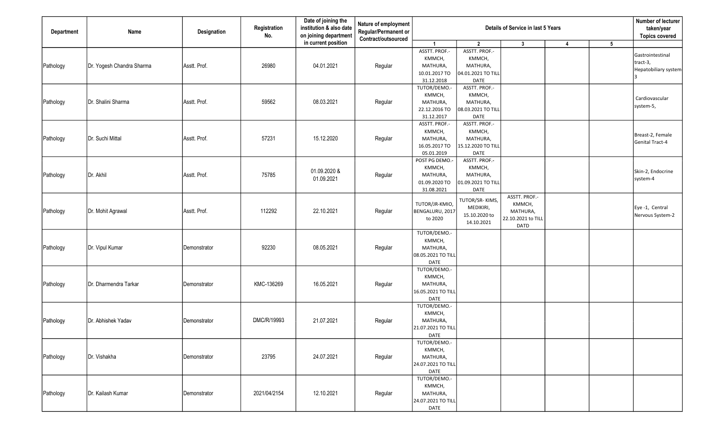| Department | Name                      | Designation  | Registration<br>No. | Date of joining the<br>institution & also date<br>on joining department | Nature of employment<br>Regular/Permanent or | Details of Service in last 5 Years<br>Contract/outsourced<br>$\overline{2}$<br>3<br>$\overline{4}$<br>-1 |                                                                    |                                                                   |  |                 | Number of lecturer<br>taken/year<br><b>Topics covered</b> |
|------------|---------------------------|--------------|---------------------|-------------------------------------------------------------------------|----------------------------------------------|----------------------------------------------------------------------------------------------------------|--------------------------------------------------------------------|-------------------------------------------------------------------|--|-----------------|-----------------------------------------------------------|
|            |                           |              |                     | in current position                                                     |                                              |                                                                                                          |                                                                    |                                                                   |  | $5\overline{5}$ |                                                           |
| Pathology  | Dr. Yogesh Chandra Sharma | Asstt. Prof. | 26980               | 04.01.2021                                                              | Regular                                      | ASSTT. PROF .-<br>KMMCH,<br>MATHURA,<br>10.01.2017 TO<br>31.12.2018                                      | ASSTT. PROF .-<br>KMMCH,<br>MATHURA,<br>04.01.2021 TO TILL<br>DATE |                                                                   |  |                 | Gastrointestinal<br>tract-3,<br>Hepatobiliary system-     |
| Pathology  | Dr. Shalini Sharma        | Asstt. Prof. | 59562               | 08.03.2021                                                              | Regular                                      | TUTOR/DEMO.-<br>KMMCH,<br>MATHURA,<br>22.12.2016 TO<br>31.12.2017                                        | ASSTT. PROF .-<br>KMMCH,<br>MATHURA,<br>08.03.2021 TO TILL<br>DATE |                                                                   |  |                 | Cardiovascular<br>system-5,                               |
| Pathology  | Dr. Suchi Mittal          | Asstt. Prof. | 57231               | 15.12.2020                                                              | Regular                                      | ASSTT. PROF .-<br>KMMCH,<br>MATHURA,<br>16.05.2017 TO<br>05.01.2019                                      | ASSTT. PROF .-<br>KMMCH,<br>MATHURA,<br>15.12.2020 TO TILL<br>DATE |                                                                   |  |                 | Breast-2, Female<br>Genital Tract-4                       |
| Pathology  | Dr. Akhil                 | Asstt. Prof. | 75785               | 01.09.2020 &<br>01.09.2021                                              | Regular                                      | POST PG DEMO.<br>KMMCH,<br>MATHURA,<br>01.09.2020 TO<br>31.08.2021                                       | ASSTT. PROF .-<br>KMMCH,<br>MATHURA,<br>01.09.2021 TO TILL<br>DATE |                                                                   |  |                 | Skin-2, Endocrine<br>system-4                             |
| Pathology  | Dr. Mohit Agrawal         | Asstt. Prof. | 112292              | 22.10.2021                                                              | Regular                                      | TUTOR/JR-KMIO,<br>BENGALURU, 2017<br>to 2020                                                             | TUTOR/SR-KIMS,<br>MEDIKIRI,<br>15.10.2020 to<br>14.10.2021         | ASSTT. PROF.-<br>KMMCH,<br>MATHURA,<br>22.10.2021 to TILL<br>DATD |  |                 | Eye -1, Central<br>Nervous System-2                       |
| Pathology  | Dr. Vipul Kumar           | Demonstrator | 92230               | 08.05.2021                                                              | Regular                                      | TUTOR/DEMO .-<br>KMMCH,<br>MATHURA,<br>08.05.2021 TO TILL<br><b>DATE</b>                                 |                                                                    |                                                                   |  |                 |                                                           |
| Pathology  | Dr. Dharmendra Tarkar     | Demonstrator | KMC-136269          | 16.05.2021                                                              | Regular                                      | TUTOR/DEMO .-<br>KMMCH,<br>MATHURA,<br>16.05.2021 TO TILL<br>DATE                                        |                                                                    |                                                                   |  |                 |                                                           |
| Pathology  | Dr. Abhishek Yadav        | Demonstrator | DMC/R/19993         | 21.07.2021                                                              | Regular                                      | TUTOR/DEMO .-<br>KMMCH,<br>MATHURA,<br>21.07.2021 TO TILL<br>DATE                                        |                                                                    |                                                                   |  |                 |                                                           |
| Pathology  | Dr. Vishakha              | Demonstrator | 23795               | 24.07.2021                                                              | Regular                                      | TUTOR/DEMO .-<br>KMMCH,<br>MATHURA,<br>24.07.2021 TO TILL<br>DATE                                        |                                                                    |                                                                   |  |                 |                                                           |
| Pathology  | Dr. Kailash Kumar         | Demonstrator | 2021/04/2154        | 12.10.2021                                                              | Regular                                      | TUTOR/DEMO .-<br>KMMCH,<br>MATHURA,<br>24.07.2021 TO TILL<br><b>DATE</b>                                 |                                                                    |                                                                   |  |                 |                                                           |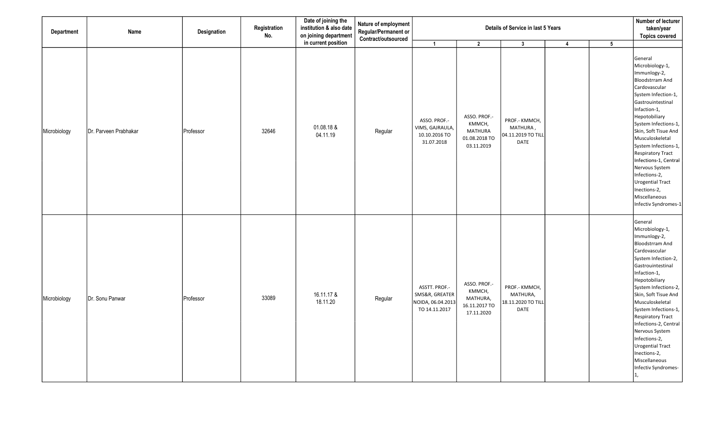| Department   | Name                  | Designation | Registration<br>No. | Date of joining the<br>institution & also date<br>on joining department | Nature of employment<br>Regular/Permanent or<br>Contract/outsourced | Details of Service in last 5 Years<br>$\overline{2}$<br>$\overline{4}$<br>$\mathbf{3}$<br>$\overline{1}$                                    |                                                          |  |                 | Number of lecturer<br>taken/year<br><b>Topics covered</b>                                                                                                                                                                                                                                                                                                                                                                   |
|--------------|-----------------------|-------------|---------------------|-------------------------------------------------------------------------|---------------------------------------------------------------------|---------------------------------------------------------------------------------------------------------------------------------------------|----------------------------------------------------------|--|-----------------|-----------------------------------------------------------------------------------------------------------------------------------------------------------------------------------------------------------------------------------------------------------------------------------------------------------------------------------------------------------------------------------------------------------------------------|
| Microbiology | Dr. Parveen Prabhakar | Professor   | 32646               | in current position<br>01.08.18 &<br>04.11.19                           | Regular                                                             | ASSO. PROF .-<br>ASSO. PROF .-<br>KMMCH,<br>VIMS, GAJRAULA,<br><b>MATHURA</b><br>10.10.2016 TO<br>01.08.2018 TO<br>31.07.2018<br>03.11.2019 | PROF .- KMMCH,<br>MATHURA,<br>04.11.2019 TO TILL<br>DATE |  | $5\phantom{.0}$ | General<br>Microbiology-1,<br>Immunlogy-2,<br><b>Bloodstrram And</b><br>Cardovascular<br>System Infection-1,<br>Gastrouintestinal<br>Infaction-1,<br>Hepotobiliary<br>System Infections-1,<br>Skin, Soft Tisue And<br>Musculoskeletal<br>System Infections-1,<br>Respiratory Tract<br>Infections-1, Central<br>Nervous System<br>Infections-2,<br>Urogential Tract<br>Inections-2,<br>Miscellaneous<br>Infectiv Syndromes-1 |
| Microbiology | Dr. Sonu Panwar       | Professor   | 33089               | 16.11.17 &<br>18.11.20                                                  | Regular                                                             | ASSO. PROF .-<br>ASSTT. PROF.-<br>KMMCH,<br>SMS&R, GREATER<br>MATHURA,<br>NOIDA, 06.04.2013<br>16.11.2017 TO<br>TO 14.11.2017<br>17.11.2020 | PROF.- KMMCH,<br>MATHURA,<br>18.11.2020 TO TILI<br>DATE  |  |                 | General<br>Microbiology-1,<br>Immunlogy-2,<br>Bloodstrram And<br>Cardovascular<br>System Infection-2,<br>Gastrouintestinal<br>Infaction-1,<br>Hepotobiliary<br>System Infections-2,<br>Skin, Soft Tisue And<br>Musculoskeletal<br>System Infections-1,<br><b>Respiratory Tract</b><br>Infections-2, Central<br>Nervous System<br>Infections-2,<br>Urogential Tract<br>Inections-2,<br>Miscellaneous<br>Infectiv Syndromes-  |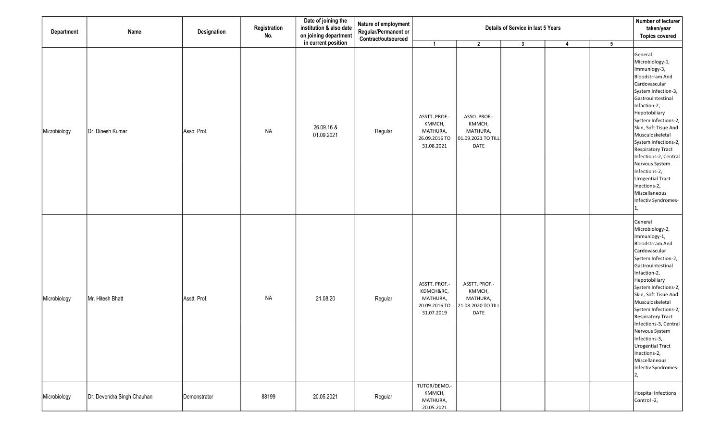| Department   | Name                       | Designation  | Registration<br>No. | Date of joining the<br>institution & also date<br>on joining department | Nature of employment<br>Regular/Permanent or | Details of Service in last 5 Years<br>Contract/outsourced<br>$\overline{2}$<br>$\mathbf{3}$<br>$\overline{4}$<br>$\overline{1}$ |                                                                           |  |  | Number of lecturer<br>taken/year<br><b>Topics covered</b> |                                                                                                                                                                                                                                                                                                                                                                                                                            |
|--------------|----------------------------|--------------|---------------------|-------------------------------------------------------------------------|----------------------------------------------|---------------------------------------------------------------------------------------------------------------------------------|---------------------------------------------------------------------------|--|--|-----------------------------------------------------------|----------------------------------------------------------------------------------------------------------------------------------------------------------------------------------------------------------------------------------------------------------------------------------------------------------------------------------------------------------------------------------------------------------------------------|
| Microbiology | Dr. Dinesh Kumar           | Asso. Prof.  | <b>NA</b>           | in current position<br>26.09.16 &<br>01.09.2021                         | Regular                                      | ASSTT. PROF .-<br>KMMCH,<br>MATHURA,<br>26.09.2016 TO<br>31.08.2021                                                             | ASSO. PROF .-<br>KMMCH,<br>MATHURA,<br>01.09.2021 TO TILL<br>DATE         |  |  | $5\overline{)}$                                           | General<br>Microbiology-1,<br>Immunlogy-3,<br><b>Bloodstrram And</b><br>Cardovascular<br>System Infection-3,<br>Gastrouintestinal<br>Infaction-2,<br>Hepotobiliary<br>System Infections-2,<br>Skin, Soft Tisue And<br>Musculoskeletal<br>System Infections-2,<br>Respiratory Tract<br>Infections-2, Central<br>Nervous System<br>Infections-2,<br>Urogential Tract<br>Inections-2,<br>Miscellaneous<br>Infectiv Syndromes- |
| Microbiology | Mr. Hitesh Bhatt           | Asstt. Prof. | <b>NA</b>           | 21.08.20                                                                | Regular                                      | ASSTT. PROF .-<br>KDMCH&RC,<br>MATHURA,<br>20.09.2016 TO<br>31.07.2019                                                          | ASSTT. PROF .-<br>KMMCH,<br>MATHURA,<br>21.08.2020 TO TILL<br><b>DATE</b> |  |  |                                                           | General<br>Microbiology-2,<br>Immunlogy-1,<br><b>Bloodstrram And</b><br>Cardovascular<br>System Infection-2,<br>Gastrouintestinal<br>Infaction-2,<br>Hepotobiliary<br>System Infections-2,<br>Skin, Soft Tisue And<br>Musculoskeletal<br>System Infections-2,<br>Respiratory Tract<br>Infections-3, Central<br>Nervous System<br>Infections-3,<br>Urogential Tract<br>Inections-2,<br>Miscellaneous<br>Infectiv Syndromes- |
| Microbiology | Dr. Devendra Singh Chauhan | Demonstrator | 88199               | 20.05.2021                                                              | Regular                                      | TUTOR/DEMO .-<br>KMMCH,<br>MATHURA,<br>20.05.2021                                                                               |                                                                           |  |  |                                                           | Hospital Infections<br>Control -2,                                                                                                                                                                                                                                                                                                                                                                                         |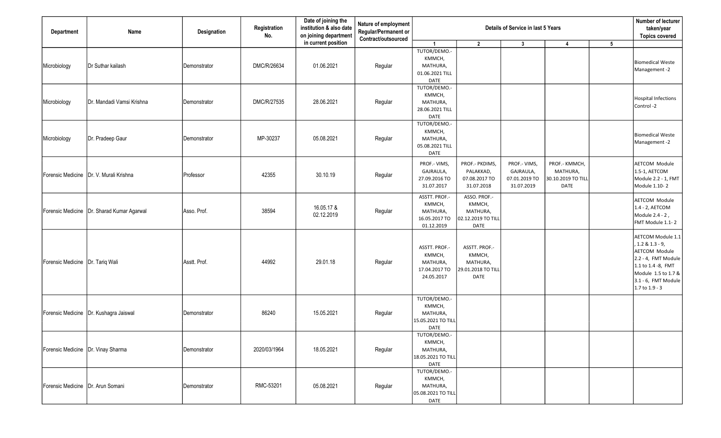| <b>Department</b>                    | Name                                         | Designation  | Registration<br>No. | Date of joining the<br>institution & also date<br>on joining department | Nature of employment<br>Regular/Permanent or | Details of Service in last 5 Years<br>Contract/outsourced<br>$\overline{2}$<br>$\mathbf{3}$<br>-1<br>4 |                                                                          |                                                          | Number of lecturer<br>taken/year<br><b>Topics covered</b>      |                 |                                                                                                                                                                        |
|--------------------------------------|----------------------------------------------|--------------|---------------------|-------------------------------------------------------------------------|----------------------------------------------|--------------------------------------------------------------------------------------------------------|--------------------------------------------------------------------------|----------------------------------------------------------|----------------------------------------------------------------|-----------------|------------------------------------------------------------------------------------------------------------------------------------------------------------------------|
|                                      |                                              |              |                     | in current position                                                     |                                              |                                                                                                        |                                                                          |                                                          |                                                                | $5\phantom{.0}$ |                                                                                                                                                                        |
| Microbiology                         | Dr Suthar kailash                            | Demonstrator | DMC/R/26634         | 01.06.2021                                                              | Regular                                      | TUTOR/DEMO .-<br>KMMCH,<br>MATHURA,<br>01.06.2021 TILL<br>DATE                                         |                                                                          |                                                          |                                                                |                 | Biomedical Weste<br>Management-2                                                                                                                                       |
| Microbiology                         | Dr. Mandadi Vamsi Krishna                    | Demonstrator | DMC/R/27535         | 28.06.2021                                                              | Regular                                      | TUTOR/DEMO .-<br>KMMCH,<br>MATHURA,<br>28.06.2021 TILL<br>DATE                                         |                                                                          |                                                          |                                                                |                 | Hospital Infections<br>Control -2                                                                                                                                      |
| Microbiology                         | Dr. Pradeep Gaur                             | Demonstrator | MP-30237            | 05.08.2021                                                              | Regular                                      | TUTOR/DEMO .-<br>KMMCH,<br>MATHURA,<br>05.08.2021 TILL<br>DATE                                         |                                                                          |                                                          |                                                                |                 | Biomedical Weste<br>Management-2                                                                                                                                       |
|                                      | Forensic Medicine   Dr. V. Murali Krishna    | Professor    | 42355               | 30.10.19                                                                | Regular                                      | PROF.- VIMS,<br>GAJRAULA,<br>27.09.2016 TO<br>31.07.2017                                               | PROF.- PKDIMS,<br>PALAKKAD,<br>07.08.2017 TO<br>31.07.2018               | PROF.- VIMS,<br>GAJRAULA,<br>07.01.2019 TO<br>31.07.2019 | PROF.- KMMCH,<br>MATHURA,<br>30.10.2019 TO TILL<br><b>DATE</b> |                 | AETCOM Module<br>1.5-1, AETCOM<br>Module 2.2 - 1, FMT<br>Module 1.10-2                                                                                                 |
|                                      | Forensic Medicine   Dr. Sharad Kumar Agarwal | Asso. Prof.  | 38594               | 16.05.17 &<br>02.12.2019                                                | Regular                                      | ASSTT. PROF.-<br>KMMCH,<br>MATHURA,<br>16.05.2017 TO<br>01.12.2019                                     | ASSO. PROF .-<br>KMMCH,<br>MATHURA,<br>02.12.2019 TO TILL<br><b>DATE</b> |                                                          |                                                                |                 | <b>AETCOM Module</b><br>$1.4 - 2$ , AETCOM<br>Module 2.4 - 2,<br>FMT Module 1.1-2                                                                                      |
| Forensic Medicine   Dr. Tariq Wali   |                                              | Asstt. Prof. | 44992               | 29.01.18                                                                | Regular                                      | ASSTT. PROF .-<br>KMMCH,<br>MATHURA,<br>17.04.2017 TO<br>24.05.2017                                    | ASSTT. PROF .-<br>KMMCH,<br>MATHURA,<br>29.01.2018 TO TILL<br>DATE       |                                                          |                                                                |                 | AETCOM Module 1.1<br>, 1.2 & 1.3 - 9,<br>AETCOM Module<br>2.2 - 4, FMT Module<br>1.1 to 1.4 -8, FMT<br>Module 1.5 to 1.7 &<br>$3.1 - 6$ , FMT Module<br>1.7 to 1.9 - 3 |
|                                      | Forensic Medicine Dr. Kushagra Jaiswal       | Demonstrator | 86240               | 15.05.2021                                                              | Regular                                      | TUTOR/DEMO .-<br>KMMCH,<br>MATHURA,<br>15.05.2021 TO TILL<br>DATE                                      |                                                                          |                                                          |                                                                |                 |                                                                                                                                                                        |
| Forensic Medicine   Dr. Vinay Sharma |                                              | Demonstrator | 2020/03/1964        | 18.05.2021                                                              | Regular                                      | TUTOR/DEMO .-<br>KMMCH,<br>MATHURA,<br>18.05.2021 TO TILL<br>DATE                                      |                                                                          |                                                          |                                                                |                 |                                                                                                                                                                        |
| Forensic Medicine   Dr. Arun Somani  |                                              | Demonstrator | RMC-53201           | 05.08.2021                                                              | Regular                                      | TUTOR/DEMO .-<br>KMMCH,<br>MATHURA,<br>05.08.2021 TO TILL<br>DATE                                      |                                                                          |                                                          |                                                                |                 |                                                                                                                                                                        |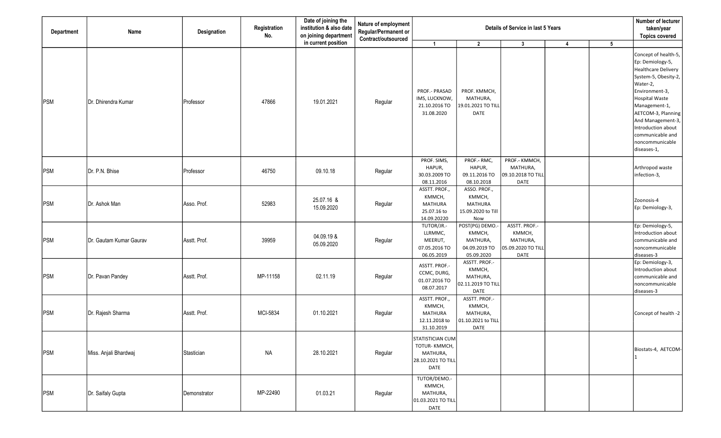| <b>Department</b> | Name                    | Designation  | Registration<br>No. | Date of joining the<br>institution & also date<br>on joining department | Nature of employment<br>Regular/Permanent or<br>Contract/outsourced |                                                                                   |                                                                       | Details of Service in last 5 Years                                 |   |   | Number of lecturer<br>taken/year<br><b>Topics covered</b>                                                                                                                                                                                                                              |
|-------------------|-------------------------|--------------|---------------------|-------------------------------------------------------------------------|---------------------------------------------------------------------|-----------------------------------------------------------------------------------|-----------------------------------------------------------------------|--------------------------------------------------------------------|---|---|----------------------------------------------------------------------------------------------------------------------------------------------------------------------------------------------------------------------------------------------------------------------------------------|
|                   |                         |              |                     | in current position                                                     |                                                                     | $\overline{\mathbf{1}}$                                                           | $\mathbf{2}$                                                          | $\mathbf{3}$                                                       | 4 | 5 |                                                                                                                                                                                                                                                                                        |
| PSM               | Dr. Dhirendra Kumar     | Professor    | 47866               | 19.01.2021                                                              | Regular                                                             | PROF .- PRASAD<br>IMS, LUCKNOW,<br>21.10.2016 TO<br>31.08.2020                    | PROF. KMMCH,<br>MATHURA,<br>19.01.2021 TO TILL<br><b>DATE</b>         |                                                                    |   |   | Concept of health-5,<br>Ep: Demiology-5,<br>Healthcare Delivery<br>System-5, Obesity-2,<br>Water-2,<br>Environment-3,<br><b>Hospital Waste</b><br>Management-1,<br>AETCOM-3, Planning<br>And Management-3,<br>Introduction about<br>communicable and<br>noncommunicable<br>diseases-1, |
| PSM               | Dr. P.N. Bhise          | Professor    | 46750               | 09.10.18                                                                | Regular                                                             | PROF. SIMS,<br>HAPUR,<br>30.03.2009 TO<br>08.11.2016                              | PROF .- RMC,<br>HAPUR,<br>09.11.2016 TO<br>08.10.2018                 | PROF.- KMMCH,<br>MATHURA,<br>09.10.2018 TO TILL<br>DATE            |   |   | Arthropod waste<br>infection-3,                                                                                                                                                                                                                                                        |
| PSM               | Dr. Ashok Man           | Asso. Prof.  | 52983               | 25.07.16 &<br>15.09.2020                                                | Regular                                                             | ASSTT. PROF.,<br>KMMCH,<br><b>MATHURA</b><br>25.07.16 to<br>14.09.20220           | ASSO. PROF.,<br>KMMCH,<br><b>MATHURA</b><br>15.09.2020 to Till<br>Now |                                                                    |   |   | Zoonosis-4<br>Ep: Demiology-3,                                                                                                                                                                                                                                                         |
| PSM               | Dr. Gautam Kumar Gaurav | Asstt. Prof. | 39959               | 04.09.19 &<br>05.09.2020                                                | Regular                                                             | TUTOR/JR.-<br>LLRMMC,<br>MEERUT,<br>07.05.2016 TO<br>06.05.2019                   | POST(PG) DEMO.<br>KMMCH,<br>MATHURA,<br>04.09.2019 TO<br>05.09.2020   | ASSTT. PROF .-<br>KMMCH,<br>MATHURA,<br>05.09.2020 TO TILL<br>DATE |   |   | Ep: Demiology-5,<br>Introduction about<br>communicable and<br>noncommunicable<br>diseases-3                                                                                                                                                                                            |
| PSM               | Dr. Pavan Pandey        | Asstt. Prof. | MP-11158            | 02.11.19                                                                | Regular                                                             | ASSTT. PROF.-<br>CCMC, DURG,<br>01.07.2016 TO<br>08.07.2017                       | ASSTT. PROF.-<br>KMMCH,<br>MATHURA,<br>02.11.2019 TO TILL<br>DATE     |                                                                    |   |   | Ep: Demiology-3,<br>Introduction about<br>communicable and<br>noncommunicable<br>diseases-3                                                                                                                                                                                            |
| PSM               | Dr. Rajesh Sharma       | Asstt. Prof. | <b>MCI-5834</b>     | 01.10.2021                                                              | Regular                                                             | ASSTT. PROF.,<br>KMMCH,<br>MATHURA<br>12.11.2018 to<br>31.10.2019                 | ASSTT. PROF .-<br>KMMCH,<br>MATHURA,<br>01.10.2021 to TILL<br>DATE    |                                                                    |   |   | Concept of health -2                                                                                                                                                                                                                                                                   |
| PSM               | Miss. Anjali Bhardwaj   | Stastician   | <b>NA</b>           | 28.10.2021                                                              | Regular                                                             | <b>STATISTICIAN CUM</b><br>TOTUR-KMMCH,<br>MATHURA,<br>28.10.2021 TO TILL<br>DATE |                                                                       |                                                                    |   |   | Biostats-4, AETCOM-                                                                                                                                                                                                                                                                    |
| PSM               | Dr. Saifaly Gupta       | Demonstrator | MP-22490            | 01.03.21                                                                | Regular                                                             | TUTOR/DEMO.<br>KMMCH,<br>MATHURA,<br>01.03.2021 TO TILL<br>DATE                   |                                                                       |                                                                    |   |   |                                                                                                                                                                                                                                                                                        |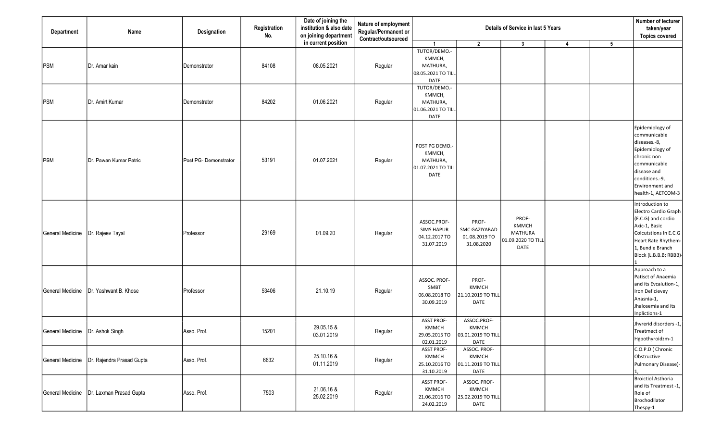| Department                         | Name                      | Designation          | Registration<br>No. | Date of joining the<br>institution & also date<br>on joining department | Nature of employment<br>Regular/Permanent or | Details of Service in last 5 Years<br>Contract/outsourced<br>$\overline{2}$<br>$\mathbf{3}$<br>$\overline{4}$ |                                                                          |                                                                       |  | Number of lecturer<br>taken/year<br><b>Topics covered</b> |                                                                                                                                                                             |
|------------------------------------|---------------------------|----------------------|---------------------|-------------------------------------------------------------------------|----------------------------------------------|---------------------------------------------------------------------------------------------------------------|--------------------------------------------------------------------------|-----------------------------------------------------------------------|--|-----------------------------------------------------------|-----------------------------------------------------------------------------------------------------------------------------------------------------------------------------|
|                                    |                           |                      |                     | in current position                                                     |                                              |                                                                                                               |                                                                          |                                                                       |  | $5\overline{5}$                                           |                                                                                                                                                                             |
| PSM                                | Dr. Amar kain             | Demonstrator         | 84108               | 08.05.2021                                                              | Regular                                      | TUTOR/DEMO .-<br>KMMCH,<br>MATHURA,<br>08.05.2021 TO TILL<br>DATE                                             |                                                                          |                                                                       |  |                                                           |                                                                                                                                                                             |
| PSM                                | Dr. Amirt Kumar           | Demonstrator         | 84202               | 01.06.2021                                                              | Regular                                      | TUTOR/DEMO .-<br>KMMCH,<br>MATHURA,<br>01.06.2021 TO TILL<br>DATE                                             |                                                                          |                                                                       |  |                                                           |                                                                                                                                                                             |
| PSM                                | Dr. Pawan Kumar Patric    | Post PG-Demonstrator | 53191               | 01.07.2021                                                              | Regular                                      | POST PG DEMO.<br>KMMCH,<br>MATHURA,<br>01.07.2021 TO TILL<br><b>DATE</b>                                      |                                                                          |                                                                       |  |                                                           | Epidemiology of<br>communicable<br>diseases.-8,<br>Epidemiology of<br>chronic non<br>communicable<br>disease and<br>conditions.-9,<br>Environment and<br>health-1, AETCOM-3 |
| General Medicine                   | Dr. Rajeev Tayal          | Professor            | 29169               | 01.09.20                                                                | Regular                                      | ASSOC.PROF-<br><b>SIMS HAPUR</b><br>04.12.2017 TO<br>31.07.2019                                               | PROF-<br>SMC GAZIYABAD<br>01.08.2019 TO<br>31.08.2020                    | PROF-<br><b>KMMCH</b><br><b>MATHURA</b><br>01.09.2020 TO TILL<br>DATE |  |                                                           | Introduction to<br>Electro Cardio Graph<br>(E.C.G) and cordio<br>Axic-1, Basic<br>Colcutstions In E.C.G<br>Heart Rate Rhythem<br>1, Bundle Branch<br>Block (L.B.B.B; RBBB)- |
| General Medicine                   | Dr. Yashwant B. Khose     | Professor            | 53406               | 21.10.19                                                                | Regular                                      | ASSOC. PROF-<br>SMBT<br>06.08.2018 TO<br>30.09.2019                                                           | PROF-<br><b>KMMCH</b><br>21.10.2019 TO TILL<br>DATE                      |                                                                       |  |                                                           | Approach to a<br>Patisct of Anaemia<br>and its Evcalution-1,<br>Iron Deficievey<br>Anasnia-1,<br>Jhalosemia and its<br>Inplictions-1                                        |
| General Medicine   Dr. Ashok Singh |                           | Asso. Prof.          | 15201               | 29.05.15 &<br>03.01.2019                                                | Regular                                      | <b>ASST PROF-</b><br><b>KMMCH</b><br>02.01.2019                                                               | ASSOC.PROF-<br><b>KMMCH</b><br>29.05.2015 TO  03.01.2019 TO TILL<br>DATE |                                                                       |  |                                                           | Jhyrerid disorders -1,<br>Treatmect of<br>Hgpothyroidzm-1                                                                                                                   |
| General Medicine                   | Dr. Rajendra Prasad Gupta | Asso. Prof.          | 6632                | 25.10.16 &<br>01.11.2019                                                | Regular                                      | <b>ASST PROF-</b><br>KMMCH<br>25.10.2016 TO<br>31.10.2019                                                     | ASSOC. PROF-<br>KMMCH<br>01.11.2019 TO TILL<br>DATE                      |                                                                       |  |                                                           | C.O.P.D (Chronic<br>Obstructive<br>Pulmonary Disease)-                                                                                                                      |
| General Medicine                   | Dr. Laxman Prasad Gupta   | Asso. Prof.          | 7503                | 21.06.16 &<br>25.02.2019                                                | Regular                                      | <b>ASST PROF-</b><br>KMMCH<br>21.06.2016 TO<br>24.02.2019                                                     | ASSOC. PROF-<br>KMMCH<br>25.02.2019 TO TILL<br>DATE                      |                                                                       |  |                                                           | Broictiol Asthoria<br>and its Treatmest -1,<br>Role of<br>Brochodilator<br>Thespy-1                                                                                         |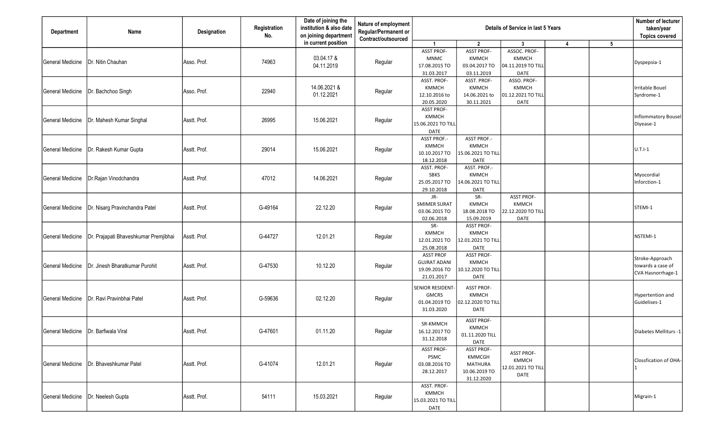| Department                             | Name                                  | Date of joining the<br>Registration<br>institution & also date<br>Designation<br>on joining department<br>No. |         |                     | Nature of employment<br>Details of Service in last 5 Years<br>Regular/Permanent or<br>Contract/outsourced |                     |                    |                    |   | Number of lecturer<br>taken/year<br><b>Topics covered</b> |                              |
|----------------------------------------|---------------------------------------|---------------------------------------------------------------------------------------------------------------|---------|---------------------|-----------------------------------------------------------------------------------------------------------|---------------------|--------------------|--------------------|---|-----------------------------------------------------------|------------------------------|
|                                        |                                       |                                                                                                               |         | in current position |                                                                                                           | -1                  | $\overline{2}$     | $\mathbf{3}$       | 4 | $5\overline{5}$                                           |                              |
|                                        |                                       |                                                                                                               |         |                     |                                                                                                           | <b>ASST PROF-</b>   | <b>ASST PROF-</b>  | ASSOC. PROF-       |   |                                                           |                              |
|                                        |                                       |                                                                                                               |         | 03.04.17 &          |                                                                                                           | <b>MNMC</b>         | <b>KMMCH</b>       | <b>KMMCH</b>       |   |                                                           |                              |
| General Medicine                       | Dr. Nitin Chauhan                     | Asso. Prof.                                                                                                   | 74963   | 04.11.2019          | Regular                                                                                                   | 17.08.2015 TO       | 03.04.2017 TO      | 04.11.2019 TO TILL |   |                                                           | Dyspepsia-1                  |
|                                        |                                       |                                                                                                               |         |                     |                                                                                                           | 31.03.2017          | 03.11.2019         | DATE               |   |                                                           |                              |
|                                        |                                       |                                                                                                               |         |                     |                                                                                                           | ASST. PROF-         | ASST. PROF-        | ASSO. PROF-        |   |                                                           |                              |
|                                        |                                       |                                                                                                               |         | 14.06.2021 &        |                                                                                                           | <b>KMMCH</b>        | <b>KMMCH</b>       | KMMCH              |   |                                                           | <b>Irritable Bouel</b>       |
| General Medicine                       | Dr. Bachchoo Singh                    | Asso. Prof.                                                                                                   | 22940   | 01.12.2021          | Regular                                                                                                   | 12.10.2016 to       | 14.06.2021 to      | 01.12.2021 TO TILL |   |                                                           | Syrdrome-1                   |
|                                        |                                       |                                                                                                               |         |                     |                                                                                                           | 20.05.2020          | 30.11.2021         | DATE               |   |                                                           |                              |
|                                        |                                       |                                                                                                               |         |                     |                                                                                                           | <b>ASST PROF-</b>   |                    |                    |   |                                                           |                              |
|                                        |                                       |                                                                                                               |         |                     |                                                                                                           | <b>KMMCH</b>        |                    |                    |   |                                                           | Inflommatory Bousel          |
| General Medicine                       | Dr. Mahesh Kumar Singhal              | Asstt. Prof.                                                                                                  | 26995   | 15.06.2021          | Regular                                                                                                   | 15.06.2021 TO TILL  |                    |                    |   |                                                           | Diyease-1                    |
|                                        |                                       |                                                                                                               |         |                     |                                                                                                           | DATE                |                    |                    |   |                                                           |                              |
|                                        |                                       |                                                                                                               |         |                     |                                                                                                           | <b>ASST PROF.-</b>  | <b>ASST PROF.-</b> |                    |   |                                                           |                              |
|                                        |                                       |                                                                                                               |         |                     |                                                                                                           | <b>KMMCH</b>        | <b>KMMCH</b>       |                    |   |                                                           |                              |
| General Medicine                       | Dr. Rakesh Kumar Gupta                | Asstt. Prof.                                                                                                  | 29014   | 15.06.2021          | Regular                                                                                                   | 10.10.2017 TO       | 15.06.2021 TO TILL |                    |   |                                                           | U.T.I-1                      |
|                                        |                                       |                                                                                                               |         |                     |                                                                                                           | 18.12.2018          | DATE               |                    |   |                                                           |                              |
|                                        |                                       |                                                                                                               |         |                     |                                                                                                           | ASST. PROF-         | ASST. PROF .-      |                    |   |                                                           |                              |
|                                        |                                       |                                                                                                               |         |                     |                                                                                                           | <b>SBKS</b>         | <b>KMMCH</b>       |                    |   |                                                           | Myocordial                   |
| General Medicine                       | Dr.Rajan Vinodchandra                 | Asstt. Prof.                                                                                                  | 47012   | 14.06.2021          | Regular                                                                                                   | 25.05.2017 TO       | 14.06.2021 TO TILL |                    |   |                                                           | Inforction-1                 |
|                                        |                                       |                                                                                                               |         |                     |                                                                                                           | 29.10.2018          | DATE               |                    |   |                                                           |                              |
|                                        |                                       |                                                                                                               |         |                     |                                                                                                           | JR-                 | SR-                | <b>ASST PROF-</b>  |   |                                                           |                              |
| General Medicine                       |                                       |                                                                                                               |         |                     |                                                                                                           | <b>SMIMER SURAT</b> | <b>KMMCH</b>       | <b>KMMCH</b>       |   |                                                           |                              |
|                                        | Dr. Nisarg Pravinchandra Patel        | Asstt. Prof.                                                                                                  | G-49164 | 22.12.20            | Regular                                                                                                   | 03.06.2015 TO       | 18.08.2018 TO      | 22.12.2020 TO TILL |   |                                                           | STEMI-1                      |
|                                        |                                       |                                                                                                               |         |                     |                                                                                                           | 02.06.2018          | 15.09.2019         | DATE               |   |                                                           |                              |
|                                        |                                       |                                                                                                               |         |                     |                                                                                                           | SR-                 | <b>ASST PROF-</b>  |                    |   |                                                           |                              |
|                                        |                                       |                                                                                                               |         |                     |                                                                                                           | <b>KMMCH</b>        | <b>KMMCH</b>       |                    |   |                                                           |                              |
| General Medicine                       | Dr. Prajapati Bhaveshkumar Premjibhai | Asstt. Prof.                                                                                                  | G-44727 | 12.01.21            | Regular                                                                                                   | 12.01.2021 TO       | 12.01.2021 TO TILL |                    |   |                                                           | NSTEMI-1                     |
|                                        |                                       |                                                                                                               |         |                     |                                                                                                           | 25.08.2018          | DATE               |                    |   |                                                           |                              |
|                                        |                                       |                                                                                                               |         |                     |                                                                                                           | <b>ASST PROF</b>    | ASST PROF-         |                    |   |                                                           |                              |
|                                        |                                       |                                                                                                               |         |                     |                                                                                                           | <b>GUJRAT ADANI</b> | <b>KMMCH</b>       |                    |   |                                                           | Stroke-Approach              |
| General Medicine                       | Dr. Jinesh Bharatkumar Purohit        | Asstt. Prof.                                                                                                  | G-47530 | 10.12.20            | Regular                                                                                                   | 19.09.2016 TO       | 10.12.2020 TO TILL |                    |   |                                                           | towards a case of            |
|                                        |                                       |                                                                                                               |         |                     |                                                                                                           | 21.01.2017          | DATE               |                    |   |                                                           | CVA Hasnorrhage-1            |
|                                        |                                       |                                                                                                               |         |                     |                                                                                                           |                     |                    |                    |   |                                                           |                              |
|                                        |                                       |                                                                                                               |         |                     |                                                                                                           | SENIOR RESIDENT     | <b>ASST PROF-</b>  |                    |   |                                                           |                              |
| General Medicine                       | Dr. Ravi Pravinbhai Patel             | Asstt. Prof.                                                                                                  | G-59636 | 02.12.20            | Regular                                                                                                   | <b>GMCRS</b>        | <b>KMMCH</b>       |                    |   |                                                           | Hypertention and             |
|                                        |                                       |                                                                                                               |         |                     |                                                                                                           | 01.04.2019 TO       | 02.12.2020 TO TILL |                    |   |                                                           | Guidelises-1                 |
|                                        |                                       |                                                                                                               |         |                     |                                                                                                           | 31.03.2020          | DATE               |                    |   |                                                           |                              |
|                                        |                                       |                                                                                                               |         |                     |                                                                                                           |                     | <b>ASST PROF-</b>  |                    |   |                                                           |                              |
|                                        |                                       |                                                                                                               |         |                     |                                                                                                           | SR-KMMCH            | <b>KMMCH</b>       |                    |   |                                                           |                              |
| General Medicine   Dr. Barfiwala Viral |                                       | Asstt. Prof.                                                                                                  | G-47601 | 01.11.20            | Regular                                                                                                   | 16.12.2017 TO       | 01.11.2020 TILL    |                    |   |                                                           | Diabetes Melliturs -1        |
|                                        |                                       |                                                                                                               |         |                     |                                                                                                           | 31.12.2018          | DATE               |                    |   |                                                           |                              |
|                                        |                                       |                                                                                                               |         |                     |                                                                                                           | <b>ASST PROF-</b>   | <b>ASST PROF-</b>  | <b>ASST PROF-</b>  |   |                                                           |                              |
|                                        |                                       |                                                                                                               |         |                     |                                                                                                           | <b>PSMC</b>         | <b>KMMCGH</b>      | KMMCH              |   |                                                           | <b>Clossfication of OHA-</b> |
| General Medicine                       | Dr. Bhaveshkumar Patel                | Asstt. Prof.                                                                                                  | G-41074 | 12.01.21            | Regular                                                                                                   | 03.08.2016 TO       | <b>MATHURA</b>     | 12.01.2021 TO TILL |   |                                                           |                              |
|                                        |                                       |                                                                                                               |         |                     |                                                                                                           | 28.12.2017          | 10.06.2019 TO      | DATE               |   |                                                           |                              |
|                                        |                                       |                                                                                                               |         |                     |                                                                                                           |                     | 31.12.2020         |                    |   |                                                           |                              |
|                                        |                                       |                                                                                                               |         |                     |                                                                                                           | ASST. PROF-         |                    |                    |   |                                                           |                              |
| General Medicine                       | Dr. Neelesh Gupta                     | Asstt. Prof.                                                                                                  |         |                     | Regular                                                                                                   | <b>KMMCH</b>        |                    |                    |   |                                                           | Migrain-1                    |
|                                        |                                       |                                                                                                               | 54111   | 15.03.2021          |                                                                                                           | 15.03.2021 TO TILL  |                    |                    |   |                                                           |                              |
|                                        |                                       |                                                                                                               |         |                     |                                                                                                           | DATE                |                    |                    |   |                                                           |                              |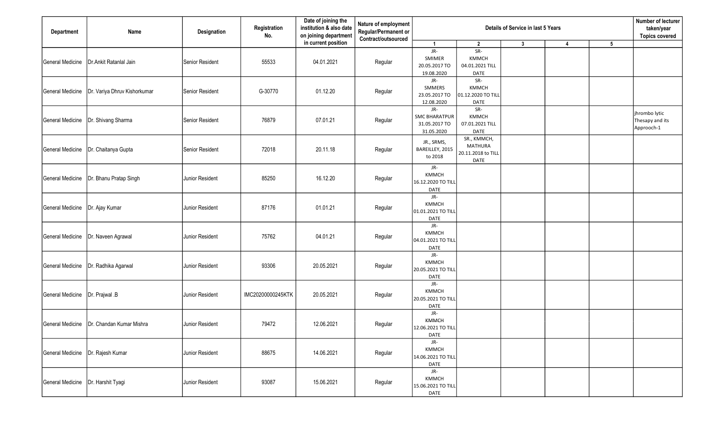| Department                          | Name                         | Designation     | Registration<br>No. | Date of joining the<br>institution & also date<br>on joining department | Nature of employment<br>Regular/Permanent or<br>Contract/outsourced |                                                            |                                                             | Details of Service in last 5 Years |   |                 | Number of lecturer<br>taken/year<br><b>Topics covered</b> |
|-------------------------------------|------------------------------|-----------------|---------------------|-------------------------------------------------------------------------|---------------------------------------------------------------------|------------------------------------------------------------|-------------------------------------------------------------|------------------------------------|---|-----------------|-----------------------------------------------------------|
|                                     |                              |                 |                     | in current position                                                     |                                                                     | $\overline{\mathbf{1}}$                                    | $\overline{2}$                                              | $\mathbf{3}$                       | 4 | $5\overline{)}$ |                                                           |
| General Medicine                    | Dr.Ankit Ratanlal Jain       | Senior Resident | 55533               | 04.01.2021                                                              | Regular                                                             | JR-<br>SMIMER<br>20.05.2017 TO<br>19.08.2020               | SR-<br><b>KMMCH</b><br>04.01.2021 TILL<br>DATE              |                                    |   |                 |                                                           |
| General Medicine                    | Dr. Variya Dhruv Kishorkumar | Senior Resident | G-30770             | 01.12.20                                                                | Regular                                                             | JR-<br>SMMERS<br>23.05.2017 TO<br>12.08.2020               | SR-<br><b>KMMCH</b><br>01.12.2020 TO TILL<br>DATE           |                                    |   |                 |                                                           |
| General Medicine                    | Dr. Shivang Sharma           | Senior Resident | 76879               | 07.01.21                                                                | Regular                                                             | JR-<br><b>SMC BHARATPUR</b><br>31.05.2017 TO<br>31.05.2020 | SR-<br><b>KMMCH</b><br>07.01.2021 TILL<br>DATE              |                                    |   |                 | jhrombo lytic<br>Thesapy and its<br>Approoch-1            |
| General Medicine                    | Dr. Chaitanya Gupta          | Senior Resident | 72018               | 20.11.18                                                                | Regular                                                             | JR., SRMS,<br>BAREILLEY, 2015<br>to 2018                   | SR., KMMCH,<br><b>MATHURA</b><br>20.11.2018 to TILL<br>DATE |                                    |   |                 |                                                           |
| General Medicine                    | Dr. Bhanu Pratap Singh       | Junior Resident | 85250               | 16.12.20                                                                | Regular                                                             | JR-<br><b>KMMCH</b><br>16.12.2020 TO TILL<br>DATE          |                                                             |                                    |   |                 |                                                           |
| General Medicine                    | Dr. Ajay Kumar               | Junior Resident | 87176               | 01.01.21                                                                | Regular                                                             | JR-<br><b>KMMCH</b><br>01.01.2021 TO TILL<br>DATE          |                                                             |                                    |   |                 |                                                           |
| General Medicine                    | Dr. Naveen Agrawal           | Junior Resident | 75762               | 04.01.21                                                                | Regular                                                             | JR-<br><b>KMMCH</b><br>04.01.2021 TO TILL<br>DATE          |                                                             |                                    |   |                 |                                                           |
| General Medicine                    | Dr. Radhika Agarwal          | Junior Resident | 93306               | 20.05.2021                                                              | Regular                                                             | JR-<br><b>KMMCH</b><br>20.05.2021 TO TILL<br>DATE          |                                                             |                                    |   |                 |                                                           |
| General Medicine   Dr. Prajwal .B   |                              | Junior Resident | IMC20200000245KTK   | 20.05.2021                                                              | Regular                                                             | JR-<br><b>KMMCH</b><br>20.05.2021 TO TILL<br>DATE          |                                                             |                                    |   |                 |                                                           |
| General Medicine                    | Dr. Chandan Kumar Mishra     | Junior Resident | 79472               | 12.06.2021                                                              | Regular                                                             | JR-<br><b>KMMCH</b><br>12.06.2021 TO TILL<br>DATE          |                                                             |                                    |   |                 |                                                           |
| General Medicine   Dr. Rajesh Kumar |                              | Junior Resident | 88675               | 14.06.2021                                                              | Regular                                                             | JR-<br>KMMCH<br>14.06.2021 TO TILL<br>DATE                 |                                                             |                                    |   |                 |                                                           |
| General Medicine                    | Dr. Harshit Tyagi            | Junior Resident | 93087               | 15.06.2021                                                              | Regular                                                             | JR-<br>KMMCH<br>15.06.2021 TO TILL<br>DATE                 |                                                             |                                    |   |                 |                                                           |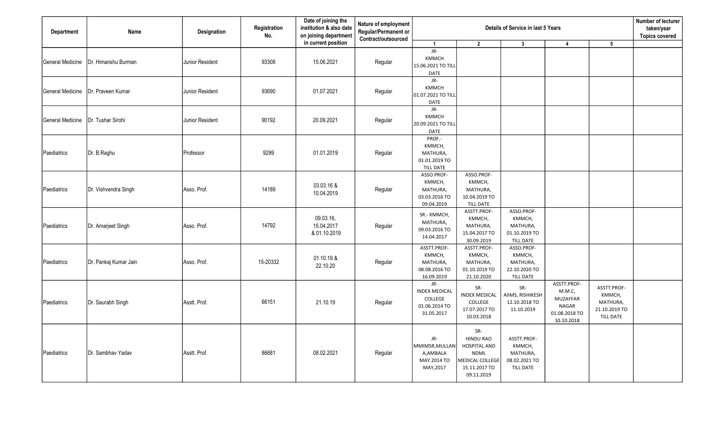| Department       | Name                  | Designation     | Registration<br>No. | Date of joining the<br>institution & also date<br>on joining department | Nature of employment<br>Regular/Permanent or<br>Contract/outsourced |                                                                       |                                                                                                                 | Details of Service in last 5 Years                                     |                                                                                  |                                                                        | Number of lecturer<br>taken/year<br><b>Topics covered</b> |
|------------------|-----------------------|-----------------|---------------------|-------------------------------------------------------------------------|---------------------------------------------------------------------|-----------------------------------------------------------------------|-----------------------------------------------------------------------------------------------------------------|------------------------------------------------------------------------|----------------------------------------------------------------------------------|------------------------------------------------------------------------|-----------------------------------------------------------|
|                  |                       |                 |                     | in current position                                                     |                                                                     | $\overline{1}$                                                        | $\overline{2}$                                                                                                  | $\mathbf{3}$                                                           | $\overline{4}$                                                                   | $\overline{5}$                                                         |                                                           |
| General Medicine | Dr. Himanshu Burman   | Junior Resident | 93308               | 15.06.2021                                                              | Regular                                                             | $JR -$<br><b>KMMCH</b><br>15.06.2021 TO TILL<br><b>DATE</b>           |                                                                                                                 |                                                                        |                                                                                  |                                                                        |                                                           |
| General Medicine | IDr. Praveen Kumar    | Junior Resident | 93690               | 01.07.2021                                                              | Regular                                                             | JR-<br><b>KMMCH</b><br>01.07.2021 TO TILL<br><b>DATE</b>              |                                                                                                                 |                                                                        |                                                                                  |                                                                        |                                                           |
| General Medicine | Dr. Tushar Sirohi     | Junior Resident | 90192               | 20.09.2021                                                              | Regular                                                             | JR-<br><b>KMMCH</b><br>20.09.2021 TO TILL<br>DATE                     |                                                                                                                 |                                                                        |                                                                                  |                                                                        |                                                           |
| Paediatrics      | Dr. B.Raghu           | Professor       | 9299                | 01.01.2019                                                              | Regular                                                             | PROF.-<br>KMMCH,<br>MATHURA,<br>01.01.2019 TO<br><b>TILL DATE</b>     |                                                                                                                 |                                                                        |                                                                                  |                                                                        |                                                           |
| Paediatrics      | Dr. Vishvendra Singh  | Asso. Prof.     | 14189               | 03.03.16 &<br>10.04.2019                                                | Regular                                                             | ASSO.PROF-<br>KMMCH,<br>MATHURA,<br>03.03.2016 TO<br>09.04.2019       | ASSO.PROF-<br>KMMCH,<br>MATHURA,<br>10.04.2019 TO<br><b>TILL DATE</b>                                           |                                                                        |                                                                                  |                                                                        |                                                           |
| Paediatrics      | Dr. Amarjeet Singh    | Asso. Prof.     | 14792               | 09.03.16,<br>15.04.2017<br>& 01.10.2019                                 | Regular                                                             | SR.- KMMCH,<br>MATHURA,<br>09.03.2016 TO<br>14.04.2017                | ASSTT.PROF-<br>KMMCH,<br>MATHURA,<br>15.04.2017 TO<br>30.09.2019                                                | ASSO.PROF-<br>KMMCH,<br>MATHURA,<br>01.10.2019 TO<br><b>TILL DATE</b>  |                                                                                  |                                                                        |                                                           |
| Paediatrics      | Dr. Pankaj Kumar Jain | Asso. Prof.     | 15-20332            | 01.10.19 &<br>22.10.20                                                  | Regular                                                             | ASSTT.PROF-<br>KMMCH,<br>MATHURA,<br>08.08.2016 TO<br>16.09.2019      | ASSTT.PROF-<br>KMMCH,<br>MATHURA,<br>01.10.2019 TO<br>21.10.2020                                                | ASSO.PROF-<br>KMMCH,<br>MATHURA,<br>22.10.2020 TO<br><b>TILL DATE</b>  |                                                                                  |                                                                        |                                                           |
| Paediatrics      | Dr. Saurabh Singh     | Asstt. Prof.    | 66151               | 21.10.19                                                                | Regular                                                             | JR-<br><b>INDEX MEDICAL</b><br>COLLEGE<br>01.06.2014 TO<br>31.05.2017 | SR-<br><b>INDEX MEDICAL</b><br>COLLEGE<br>17.07.2017 TO<br>10.03.2018                                           | SR-<br>AIIMS, RISHIKESH<br>12.10.2018 TO<br>11.10.2019                 | ASSTT.PROF-<br>M.M.C,<br><b>MUZAFFAR</b><br>NAGAR<br>01.08.2018 TO<br>10.10.2018 | ASSTT.PROF-<br>KMMCH,<br>MATHURA,<br>21.10.2019 TO<br><b>TILL DATE</b> |                                                           |
| Paediatrics      | Dr. Sambhav Yadav     | Asstt. Prof.    | 86681               | 08.02.2021                                                              | Regular                                                             | JR-<br>MMIMSR, MULLAN<br>A, AMBALA<br>MAY.2014 TO<br>MAY, 2017        | SR-<br><b>HINDU RAO</b><br><b>HOSPITAL AND</b><br><b>NDML</b><br>MEDICAL COLLEGE<br>15.11.2017 TO<br>09.11.2019 | ASSTT.PROF-<br>KMMCH,<br>MATHURA,<br>08.02.2021 TO<br><b>TILL DATE</b> |                                                                                  |                                                                        |                                                           |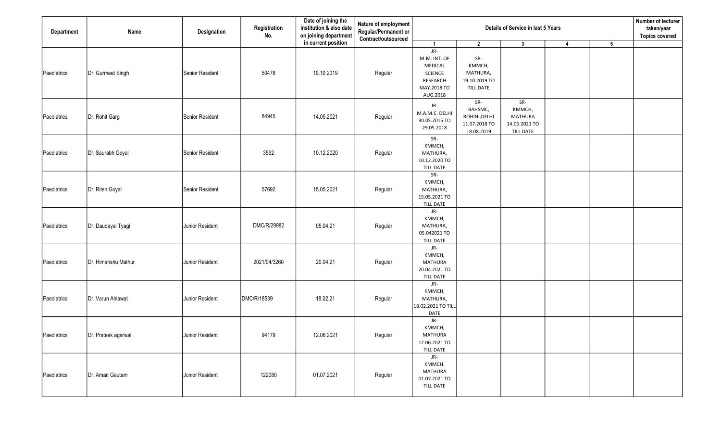| Department  | Name                | Designation     | Registration<br>No. | Date of joining the<br>institution & also date<br>on joining department | Nature of employment<br>Regular/Permanent or<br>Contract/outsourced |                                                                                         |                                                                         | Details of Service in last 5 Years                                   |                |                 | Number of lecturer<br>taken/year<br><b>Topics covered</b> |
|-------------|---------------------|-----------------|---------------------|-------------------------------------------------------------------------|---------------------------------------------------------------------|-----------------------------------------------------------------------------------------|-------------------------------------------------------------------------|----------------------------------------------------------------------|----------------|-----------------|-----------------------------------------------------------|
|             |                     |                 |                     | in current position                                                     |                                                                     | - 1                                                                                     | $\mathbf{2}$                                                            | $\mathbf{3}$                                                         | $\overline{4}$ | $5\phantom{.0}$ |                                                           |
| Paediatrics | Dr. Gurmeet Singh   | Senior Resident | 50478               | 19.10.2019                                                              | Regular                                                             | JR-<br>M.M. INT. OF<br>MEDICAL<br><b>SCIENCE</b><br>RESEARCH<br>MAY.2018 TO<br>AUG.2018 | SR-<br>KMMCH,<br>MATHURA,<br>19.10.2019 TO<br><b>TILL DATE</b>          |                                                                      |                |                 |                                                           |
| Paediatrics | Dr. Rohit Garg      | Senior Resident | 84945               | 14.05.2021                                                              | Regular                                                             | JR-<br>M.A.M.C. DELHI<br>30.05.2015 TO<br>29.05.2018                                    | ${\sf SR}$ -<br>BAHSMC,<br>ROHINI, DELHI<br>11.07.2018 TO<br>18.08.2019 | SR-<br>KMMCH,<br><b>MATHURA</b><br>14.05.2021 TO<br><b>TILL DATE</b> |                |                 |                                                           |
| Paediatrics | Dr. Saurabh Goyal   | Senior Resident | 3592                | 10.12.2020                                                              | Regular                                                             | SR-<br>KMMCH,<br>MATHURA,<br>10.12.2020 TO<br><b>TILL DATE</b>                          |                                                                         |                                                                      |                |                 |                                                           |
| Paediatrics | Dr. Riten Goyal     | Senior Resident | 57692               | 15.05.2021                                                              | Regular                                                             | SR-<br>KMMCH,<br>MATHURA,<br>15.05.2021 TO<br>TILL DATE                                 |                                                                         |                                                                      |                |                 |                                                           |
| Paediatrics | Dr. Daudayal Tyagi  | Junior Resident | DMC/R/29982         | 05.04.21                                                                | Regular                                                             | JR-<br>KMMCH,<br>MATHURA,<br>05.042021 TO<br><b>TILL DATE</b>                           |                                                                         |                                                                      |                |                 |                                                           |
| Paediatrics | Dr. Himanshu Mathur | Junior Resident | 2021/04/3260        | 20.04.21                                                                | Regular                                                             | $JR-$<br>KMMCH,<br><b>MATHURA</b><br>20.04.2021 TO<br><b>TILL DATE</b>                  |                                                                         |                                                                      |                |                 |                                                           |
| Paediatrics | Dr. Varun Ahlawat   | Junior Resident | DMC/R/18539         | 18.02.21                                                                | Regular                                                             | JR-<br>KMMCH,<br>MATHURA,<br>18.02.2021 TO TILL<br>DATE                                 |                                                                         |                                                                      |                |                 |                                                           |
| Paediatrics | Dr. Prateek agarwal | Junior Resident | 94179               | 12.06.2021                                                              | Regular                                                             | JR-<br>KMMCH,<br><b>MATHURA</b><br>12.06.2021 TO<br><b>TILL DATE</b>                    |                                                                         |                                                                      |                |                 |                                                           |
| Paediatrics | Dr. Aman Gautam     | Junior Resident | 122080              | 01.07.2021                                                              | Regular                                                             | $JR-$<br>KMMCH.<br>MATHURA<br>01.07.2021 TO<br><b>TILL DATE</b>                         |                                                                         |                                                                      |                |                 |                                                           |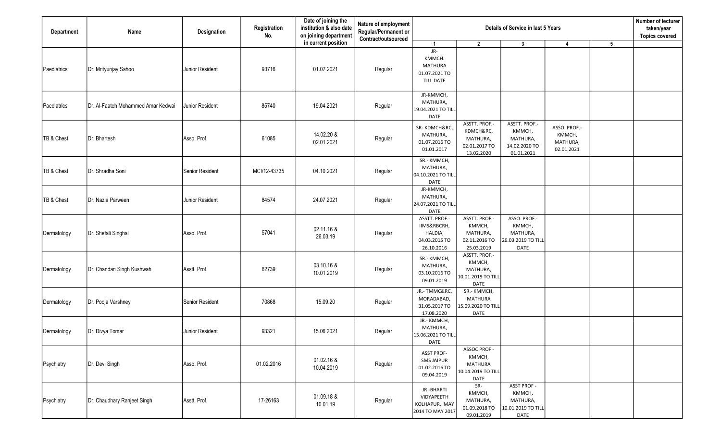| Department  | Name                               | Designation     | Registration<br>No. | Date of joining the<br>institution & also date<br>on joining department | Nature of employment<br>Regular/Permanent or<br>Contract/outsourced |                                                                         |                                                                        | Details of Service in last 5 Years                                     |                                                  |                 | Number of lecturer<br>taken/year<br><b>Topics covered</b> |
|-------------|------------------------------------|-----------------|---------------------|-------------------------------------------------------------------------|---------------------------------------------------------------------|-------------------------------------------------------------------------|------------------------------------------------------------------------|------------------------------------------------------------------------|--------------------------------------------------|-----------------|-----------------------------------------------------------|
|             |                                    |                 |                     | in current position                                                     |                                                                     |                                                                         | $\mathbf{2}$                                                           | $\mathbf{3}$                                                           | 4                                                | $5\overline{5}$ |                                                           |
| Paediatrics | Dr. Mrityunjay Sahoo               | Junior Resident | 93716               | 01.07.2021                                                              | Regular                                                             | JR-<br>KMMCH.<br><b>MATHURA</b><br>01.07.2021 TO<br><b>TILL DATE</b>    |                                                                        |                                                                        |                                                  |                 |                                                           |
| Paediatrics | Dr. Al-Faateh Mohammed Amar Kedwai | Junior Resident | 85740               | 19.04.2021                                                              | Regular                                                             | JR-KMMCH,<br>MATHURA,<br>19.04.2021 TO TILL<br>DATE                     |                                                                        |                                                                        |                                                  |                 |                                                           |
| TB & Chest  | Dr. Bhartesh                       | Asso. Prof.     | 61085               | 14.02.20 &<br>02.01.2021                                                | Regular                                                             | SR-KDMCH&RC,<br>MATHURA,<br>01.07.2016 TO<br>01.01.2017                 | ASSTT. PROF .-<br>KDMCH&RC,<br>MATHURA,<br>02.01.2017 TO<br>13.02.2020 | ASSTT. PROF.-<br>KMMCH,<br>MATHURA,<br>14.02.2020 TO<br>01.01.2021     | ASSO. PROF.-<br>KMMCH,<br>MATHURA,<br>02.01.2021 |                 |                                                           |
| TB & Chest  | Dr. Shradha Soni                   | Senior Resident | MCI/12-43735        | 04.10.2021                                                              | Regular                                                             | SR.- KMMCH,<br>MATHURA,<br>04.10.2021 TO TILL<br>DATE                   |                                                                        |                                                                        |                                                  |                 |                                                           |
| TB & Chest  | Dr. Nazia Parween                  | Junior Resident | 84574               | 24.07.2021                                                              | Regular                                                             | JR-KMMCH,<br>MATHURA,<br>24.07.2021 TO TILL<br>DATE                     |                                                                        |                                                                        |                                                  |                 |                                                           |
| Dermatology | Dr. Shefali Singhal                | Asso. Prof.     | 57041               | 02.11.16 &<br>26.03.19                                                  | Regular                                                             | ASSTT. PROF .-<br>IIMS&RBCRH,<br>HALDIA,<br>04.03.2015 TO<br>26.10.2016 | ASSTT. PROF .-<br>KMMCH,<br>MATHURA,<br>02.11.2016 TO<br>25.03.2019    | ASSO. PROF .-<br>KMMCH,<br>MATHURA,<br>26.03.2019 TO TILL<br>DATE      |                                                  |                 |                                                           |
| Dermatology | Dr. Chandan Singh Kushwah          | Asstt. Prof.    | 62739               | 03.10.16 &<br>10.01.2019                                                | Regular                                                             | SR.- KMMCH,<br>MATHURA,<br>03.10.2016 TO<br>09.01.2019                  | ASSTT. PROF .-<br>KMMCH,<br>MATHURA,<br>10.01.2019 TO TILL<br>DATE     |                                                                        |                                                  |                 |                                                           |
| Dermatology | Dr. Pooja Varshney                 | Senior Resident | 70868               | 15.09.20                                                                | Regular                                                             | JR.- TMMC&RC,<br>MORADABAD,<br>31.05.2017 TO<br>17.08.2020              | SR.- KMMCH,<br><b>MATHURA</b><br>15.09.2020 TO TILL<br>DATE            |                                                                        |                                                  |                 |                                                           |
| Dermatology | Dr. Divya Tomar                    | Junior Resident | 93321               | 15.06.2021                                                              | Regular                                                             | JR.- KMMCH,<br>MATHURA,<br>15.06.2021 TO TILL<br>DATE                   |                                                                        |                                                                        |                                                  |                 |                                                           |
| Psychiatry  | Dr. Devi Singh                     | Asso. Prof.     | 01.02.2016          | 01.02.16 &<br>10.04.2019                                                | Regular                                                             | <b>ASST PROF-</b><br><b>SMS JAIPUR</b><br>01.02.2016 TO<br>09.04.2019   | ASSOC PROF -<br>KMMCH,<br>MATHURA<br>10.04.2019 TO TILL<br>DATE        |                                                                        |                                                  |                 |                                                           |
| Psychiatry  | Dr. Chaudhary Ranjeet Singh        | Asstt. Prof.    | 17-26163            | 01.09.18 &<br>10.01.19                                                  | Regular                                                             | JR-BHARTI<br>VIDYAPEETH<br>KOLHAPUR, MAY<br>2014 TO MAY 2017            | SR-<br>KMMCH,<br>MATHURA,<br>01.09.2018 TO<br>09.01.2019               | <b>ASST PROF -</b><br>KMMCH,<br>MATHURA,<br>10.01.2019 TO TILL<br>DATE |                                                  |                 |                                                           |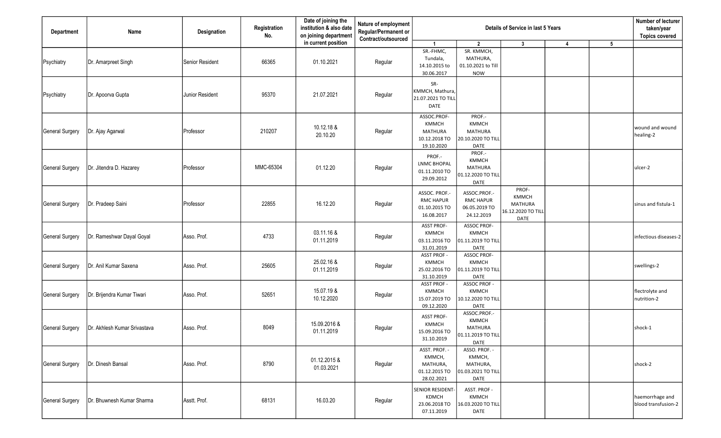| Department             | Name                         | Designation     | Registration<br>No. | Date of joining the<br>institution & also date<br>on joining department | Nature of employment<br>Regular/Permanent or<br>Contract/outsourced |                                                                              |                                                                   | Details of Service in last 5 Years                             |                |                 | Number of lecturer<br>taken/year<br><b>Topics covered</b> |
|------------------------|------------------------------|-----------------|---------------------|-------------------------------------------------------------------------|---------------------------------------------------------------------|------------------------------------------------------------------------------|-------------------------------------------------------------------|----------------------------------------------------------------|----------------|-----------------|-----------------------------------------------------------|
|                        |                              |                 |                     | in current position                                                     |                                                                     | -1                                                                           | $\overline{2}$                                                    | $\mathbf{3}$                                                   | $\overline{4}$ | $5\overline{)}$ |                                                           |
| Psychiatry             | Dr. Amarpreet Singh          | Senior Resident | 66365               | 01.10.2021                                                              | Regular                                                             | SR.-FHMC,<br>Tundala,<br>14.10.2015 to<br>30.06.2017                         | SR. KMMCH,<br>MATHURA,<br>01.10.2021 to Till<br><b>NOW</b>        |                                                                |                |                 |                                                           |
| Psychiatry             | Dr. Apoorva Gupta            | Junior Resident | 95370               | 21.07.2021                                                              | Regular                                                             | SR-<br>KMMCH, Mathura,<br>21.07.2021 TO TILL<br>DATE                         |                                                                   |                                                                |                |                 |                                                           |
| General Surgery        | Dr. Ajay Agarwal             | Professor       | 210207              | 10.12.18 &<br>20.10.20                                                  | Regular                                                             | ASSOC.PROF-<br><b>KMMCH</b><br><b>MATHURA</b><br>10.12.2018 TO<br>19.10.2020 | PROF.-<br>KMMCH<br><b>MATHURA</b><br>20.10.2020 TO TILL<br>DATE   |                                                                |                |                 | wound and wound<br>healing-2                              |
| General Surgery        | Dr. Jitendra D. Hazarey      | Professor       | MMC-65304           | 01.12.20                                                                | Regular                                                             | PROF.-<br><b>LNMC BHOPAL</b><br>01.11.2010 TO<br>29.09.2012                  | PROF.-<br>KMMCH<br><b>MATHURA</b><br>01.12.2020 TO TILL<br>DATE   |                                                                |                |                 | ulcer-2                                                   |
| General Surgery        | Dr. Pradeep Saini            | Professor       | 22855               | 16.12.20                                                                | Regular                                                             | ASSOC. PROF .-<br><b>RMC HAPUR</b><br>01.10.2015 TO<br>16.08.2017            | ASSOC.PROF.-<br><b>RMC HAPUR</b><br>06.05.2019 TO<br>24.12.2019   | PROF-<br>KMMCH<br><b>MATHURA</b><br>16.12.2020 TO TILL<br>DATE |                |                 | sinus and fistula-1                                       |
| General Surgery        | Dr. Rameshwar Dayal Goyal    | Asso. Prof.     | 4733                | 03.11.16 &<br>01.11.2019                                                | Regular                                                             | <b>ASST PROF-</b><br><b>KMMCH</b><br>03.11.2016 TO<br>31.01.2019             | <b>ASSOC PROF-</b><br><b>KMMCH</b><br>01.11.2019 TO TILL<br>DATE  |                                                                |                |                 | infectious diseases-2                                     |
| General Surgery        | Dr. Anil Kumar Saxena        | Asso. Prof.     | 25605               | 25.02.16 &<br>01.11.2019                                                | Regular                                                             | <b>ASST PROF -</b><br><b>KMMCH</b><br>25.02.2016 TO<br>31.10.2019            | ASSOC PROF-<br><b>KMMCH</b><br>01.11.2019 TO TILL<br>DATE         |                                                                |                |                 | swellings-2                                               |
| <b>General Surgery</b> | Dr. Brijendra Kumar Tiwari   | Asso. Prof.     | 52651               | 15.07.19 &<br>10.12.2020                                                | Regular                                                             | <b>ASST PROF -</b><br><b>KMMCH</b><br>15.07.2019 TO<br>09.12.2020            | ASSOC PROF -<br><b>KMMCH</b><br>10.12.2020 TO TILL<br>DATE        |                                                                |                |                 | flectrolyte and<br>nutrition-2                            |
| <b>General Surgery</b> | Dr. Akhlesh Kumar Srivastava | Asso. Prof.     | 8049                | 15.09.2016 &<br>01.11.2019                                              | Regular                                                             | <b>ASST PROF-</b><br><b>KMMCH</b><br>15.09.2016 TO<br>31.10.2019             | ASSOC.PROF.-<br>KMMCH<br>MATHURA<br>01.11.2019 TO TILL<br>DATE    |                                                                |                |                 | shock-1                                                   |
| General Surgery        | Dr. Dinesh Bansal            | Asso. Prof.     | 8790                | 01.12.2015 &<br>01.03.2021                                              | Regular                                                             | ASST. PROF. -<br>KMMCH,<br>MATHURA,<br>01.12.2015 TO<br>28.02.2021           | ASSO. PROF. -<br>KMMCH,<br>MATHURA,<br>01.03.2021 TO TILL<br>DATE |                                                                |                |                 | shock-2                                                   |
| General Surgery        | Dr. Bhuwnesh Kumar Sharma    | Asstt. Prof.    | 68131               | 16.03.20                                                                | Regular                                                             | SENIOR RESIDENT-<br>KDMCH<br>23.06.2018 TO<br>07.11.2019                     | ASST. PROF -<br>KMMCH<br>16.03.2020 TO TILL<br>DATE               |                                                                |                |                 | haemorrhage and<br>blood transfusion-2                    |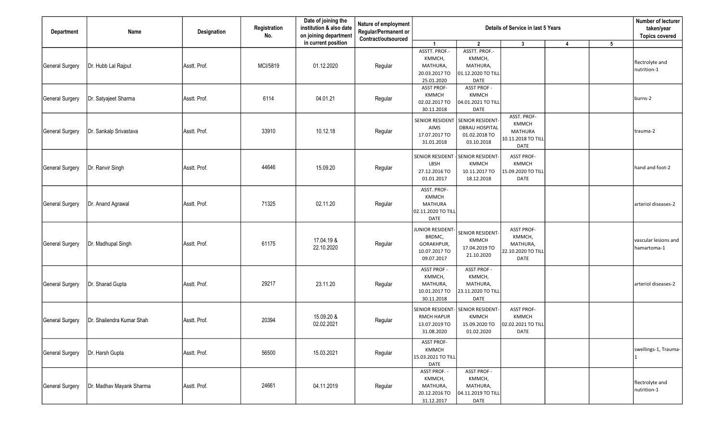| Department             | Name                      | Designation  | Registration<br>No. | Date of joining the<br>institution & also date<br>on joining department | Nature of employment<br>Regular/Permanent or<br>Contract/outsourced | Details of Service in last 5 Years<br>$\overline{2}$<br>$5\phantom{.0}$<br>$\mathbf{3}$<br>4 |                                                                                   |                                                                       |  | Number of lecturer<br>taken/year<br><b>Topics covered</b> |                                     |
|------------------------|---------------------------|--------------|---------------------|-------------------------------------------------------------------------|---------------------------------------------------------------------|----------------------------------------------------------------------------------------------|-----------------------------------------------------------------------------------|-----------------------------------------------------------------------|--|-----------------------------------------------------------|-------------------------------------|
|                        |                           |              |                     | in current position                                                     |                                                                     |                                                                                              |                                                                                   |                                                                       |  |                                                           |                                     |
| General Surgery        | Dr. Hubb Lal Rajput       | Asstt. Prof. | MCI/5819            | 01.12.2020                                                              | Regular                                                             | ASSTT. PROF .-<br>KMMCH,<br>MATHURA,<br>20.03.2017 TO<br>25.01.2020                          | ASSTT. PROF .-<br>KMMCH,<br>MATHURA,<br>01.12.2020 TO TILL<br>DATE                |                                                                       |  |                                                           | flectrolyte and<br>nutrition-1      |
| General Surgery        | Dr. Satyajeet Sharma      | Asstt. Prof. | 6114                | 04.01.21                                                                | Regular                                                             | <b>ASST PROF-</b><br><b>KMMCH</b><br>02.02.2017 TO<br>30.11.2018                             | <b>ASST PROF -</b><br><b>KMMCH</b><br>04.01.2021 TO TILL<br>DATE                  |                                                                       |  |                                                           | burns-2                             |
| General Surgery        | Dr. Sankalp Srivastava    | Asstt. Prof. | 33910               | 10.12.18                                                                | Regular                                                             | <b>SENIOR RESIDENT</b><br>AIMS<br>17.07.2017 TO<br>31.01.2018                                | <b>SENIOR RESIDENT-</b><br><b>DBRAU HOSPITAL</b><br>01.02.2018 TO<br>03.10.2018   | ASST. PROF-<br>KMMCH<br><b>MATHURA</b><br>10.11.2018 TO TILL<br>DATE  |  |                                                           | trauma-2                            |
| <b>General Surgery</b> | Dr. Ranvir Singh          | Asstt. Prof. | 44646               | 15.09.20                                                                | Regular                                                             | LBSH<br>27.12.2016 TO<br>01.01.2017                                                          | SENIOR RESIDENT - SENIOR RESIDENT-<br><b>KMMCH</b><br>10.11.2017 TO<br>18.12.2018 | <b>ASST PROF-</b><br><b>KMMCH</b><br>15.09.2020 TO TILL<br>DATE       |  |                                                           | hand and foot-2                     |
| General Surgery        | Dr. Anand Agrawal         | Asstt. Prof. | 71325               | 02.11.20                                                                | Regular                                                             | ASST. PROF-<br><b>KMMCH</b><br><b>MATHURA</b><br>02.11.2020 TO TILL<br>DATE                  |                                                                                   |                                                                       |  |                                                           | arteriol diseases-2                 |
| General Surgery        | Dr. Madhupal Singh        | Asstt. Prof. | 61175               | 17.04.19 &<br>22.10.2020                                                | Regular                                                             | JUNIOR RESIDENT-<br>BRDMC,<br>GORAKHPUR,<br>10.07.2017 TO<br>09.07.2017                      | SENIOR RESIDENT-<br>KMMCH<br>17.04.2019 TO<br>21.10.2020                          | <b>ASST PROF-</b><br>KMMCH,<br>MATHURA,<br>22.10.2020 TO TILL<br>DATE |  |                                                           | vascular lesions and<br>hamartoma-1 |
| General Surgery        | Dr. Sharad Gupta          | Asstt. Prof. | 29217               | 23.11.20                                                                | Regular                                                             | <b>ASST PROF -</b><br>KMMCH,<br>MATHURA,<br>10.01.2017 TO<br>30.11.2018                      | <b>ASST PROF -</b><br>KMMCH,<br>MATHURA,<br>23.11.2020 TO TILL<br>DATE            |                                                                       |  |                                                           | arteriol diseases-2                 |
| General Surgery        | Dr. Shailendra Kumar Shah | Asstt. Prof. | 20394               | 15.09.20 &<br>02.02.2021                                                | Regular                                                             | <b>SENIOR RESIDENT-</b><br><b>RMCH HAPUR</b><br>13.07.2019 TO<br>31.08.2020                  | SENIOR RESIDENT<br>KMMCH<br>15.09.2020 TO<br>01.02.2020                           | <b>ASST PROF-</b><br><b>KMMCH</b><br>02.02.2021 TO TILL<br>DATE       |  |                                                           |                                     |
| General Surgery        | Dr. Harsh Gupta           | Asstt. Prof. | 56500               | 15.03.2021                                                              | Regular                                                             | <b>ASST PROF-</b><br>KMMCH<br>15.03.2021 TO TILL<br>DATE                                     |                                                                                   |                                                                       |  |                                                           | swellings-1, Trauma-                |
| <b>General Surgery</b> | Dr. Madhav Mayank Sharma  | Asstt. Prof. | 24661               | 04.11.2019                                                              | Regular                                                             | ASST PROF. -<br>KMMCH,<br>MATHURA,<br>20.12.2016 TO<br>31.12.2017                            | <b>ASST PROF -</b><br>KMMCH,<br>MATHURA,<br>04.11.2019 TO TILL<br>DATE            |                                                                       |  |                                                           | flectrolyte and<br>nutrition-1      |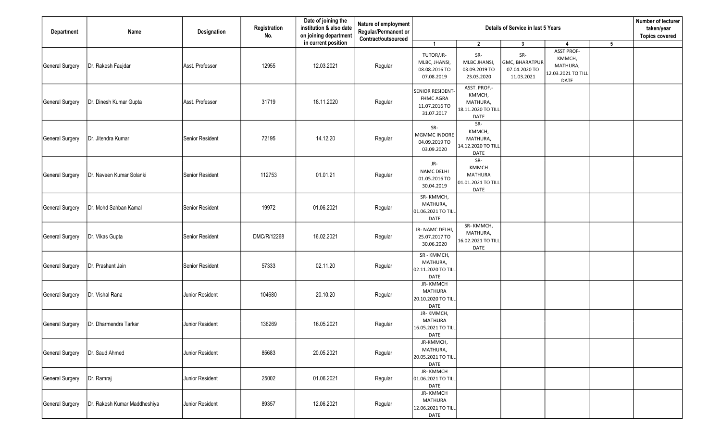| Department             | Name                         | Designation     | Registration<br>No. | Date of joining the<br>institution & also date<br>on joining department | Nature of employment<br>Regular/Permanent or<br>Contract/outsourced |                                                                            |                                                                       | Details of Service in last 5 Years                   |                                                                       |                 | Number of lecturer<br>taken/year<br><b>Topics covered</b> |
|------------------------|------------------------------|-----------------|---------------------|-------------------------------------------------------------------------|---------------------------------------------------------------------|----------------------------------------------------------------------------|-----------------------------------------------------------------------|------------------------------------------------------|-----------------------------------------------------------------------|-----------------|-----------------------------------------------------------|
|                        |                              |                 |                     | in current position                                                     |                                                                     | $\overline{1}$                                                             | $\overline{2}$                                                        | $\mathbf{3}$                                         | 4                                                                     | $5\overline{)}$ |                                                           |
| General Surgery        | Dr. Rakesh Faujdar           | Asst. Professor | 12955               | 12.03.2021                                                              | Regular                                                             | TUTOR/JR-<br>MLBC, JHANSI,<br>08.08.2016 TO<br>07.08.2019                  | SR-<br>MLBC JHANSI,<br>03.09.2019 TO<br>23.03.2020                    | SR-<br>GMC, BHARATPUR<br>07.04.2020 TO<br>11.03.2021 | <b>ASST PROF-</b><br>KMMCH,<br>MATHURA,<br>12.03.2021 TO TILL<br>DATE |                 |                                                           |
| General Surgery        | Dr. Dinesh Kumar Gupta       | Asst. Professor | 31719               | 18.11.2020                                                              | Regular                                                             | <b>SENIOR RESIDENT-</b><br><b>FHMC AGRA</b><br>11.07.2016 TO<br>31.07.2017 | ASST. PROF .-<br>KMMCH,<br>MATHURA,<br>18.11.2020 TO TILL<br>DATE     |                                                      |                                                                       |                 |                                                           |
| General Surgery        | Dr. Jitendra Kumar           | Senior Resident | 72195               | 14.12.20                                                                | Regular                                                             | SR-<br>MGMMC INDORE<br>04.09.2019 TO<br>03.09.2020                         | $SR-$<br>KMMCH,<br>MATHURA,<br>14.12.2020 TO TILL<br>DATE             |                                                      |                                                                       |                 |                                                           |
| <b>General Surgery</b> | Dr. Naveen Kumar Solanki     | Senior Resident | 112753              | 01.01.21                                                                | Regular                                                             | JR-<br><b>NAMC DELHI</b><br>01.05.2016 TO<br>30.04.2019                    | ${\sf SR}$ -<br>KMMCH<br><b>MATHURA</b><br>01.01.2021 TO TILL<br>DATE |                                                      |                                                                       |                 |                                                           |
| General Surgery        | Dr. Mohd Sahban Kamal        | Senior Resident | 19972               | 01.06.2021                                                              | Regular                                                             | SR-KMMCH,<br>MATHURA,<br>01.06.2021 TO TILL<br>DATE                        |                                                                       |                                                      |                                                                       |                 |                                                           |
| General Surgery        | Dr. Vikas Gupta              | Senior Resident | DMC/R/12268         | 16.02.2021                                                              | Regular                                                             | JR-NAMC DELHI,<br>25.07.2017 TO<br>30.06.2020                              | SR-KMMCH,<br>MATHURA,<br>16.02.2021 TO TILL<br>DATE                   |                                                      |                                                                       |                 |                                                           |
| <b>General Surgery</b> | Dr. Prashant Jain            | Senior Resident | 57333               | 02.11.20                                                                | Regular                                                             | SR - KMMCH,<br>MATHURA,<br>02.11.2020 TO TILL<br>DATE                      |                                                                       |                                                      |                                                                       |                 |                                                           |
| General Surgery        | Dr. Vishal Rana              | Junior Resident | 104680              | 20.10.20                                                                | Regular                                                             | JR-KMMCH<br><b>MATHURA</b><br>20.10.2020 TO TILL<br>DATE                   |                                                                       |                                                      |                                                                       |                 |                                                           |
| <b>General Surgery</b> | Dr. Dharmendra Tarkar        | Junior Resident | 136269              | 16.05.2021                                                              | Regular                                                             | JR-KMMCH,<br><b>MATHURA</b><br>16.05.2021 TO TILL<br>DATE                  |                                                                       |                                                      |                                                                       |                 |                                                           |
| General Surgery        | Dr. Saud Ahmed               | Junior Resident | 85683               | 20.05.2021                                                              | Regular                                                             | JR-KMMCH,<br>MATHURA,<br>20.05.2021 TO TILL<br>DATE                        |                                                                       |                                                      |                                                                       |                 |                                                           |
| General Surgery        | Dr. Ramraj                   | Junior Resident | 25002               | 01.06.2021                                                              | Regular                                                             | JR-KMMCH<br>01.06.2021 TO TILL<br>DATE                                     |                                                                       |                                                      |                                                                       |                 |                                                           |
| General Surgery        | Dr. Rakesh Kumar Maddheshiya | Junior Resident | 89357               | 12.06.2021                                                              | Regular                                                             | JR-KMMCH<br><b>MATHURA</b><br>12.06.2021 TO TILL<br>DATE                   |                                                                       |                                                      |                                                                       |                 |                                                           |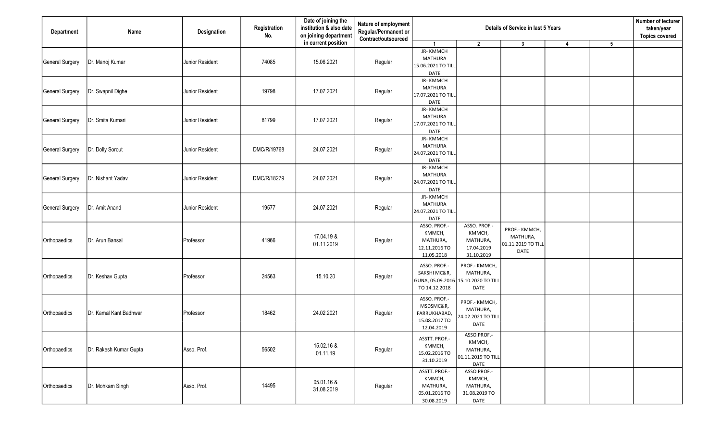| Nature of employment<br>institution & also date<br>Registration<br>Details of Service in last 5 Years<br>Regular/Permanent or<br>Name<br>Designation<br>Department<br>on joining department<br>No.<br>Contract/outsourced |                                  | taken/year<br><b>Topics covered</b> |
|---------------------------------------------------------------------------------------------------------------------------------------------------------------------------------------------------------------------------|----------------------------------|-------------------------------------|
| in current position<br>$\overline{2}$<br>$\mathbf{3}$                                                                                                                                                                     | $\overline{4}$<br>5 <sub>5</sub> |                                     |
| JR-KMMCH                                                                                                                                                                                                                  |                                  |                                     |
| <b>MATHURA</b><br>Junior Resident<br>74085<br>15.06.2021<br>Regular<br><b>General Surgery</b><br>Dr. Manoj Kumar                                                                                                          |                                  |                                     |
| 15.06.2021 TO TILL                                                                                                                                                                                                        |                                  |                                     |
| DATE                                                                                                                                                                                                                      |                                  |                                     |
| JR-KMMCH                                                                                                                                                                                                                  |                                  |                                     |
| <b>MATHURA</b><br>19798<br>17.07.2021<br>General Surgery<br>Dr. Swapnil Dighe<br>Junior Resident<br>Regular                                                                                                               |                                  |                                     |
| 17.07.2021 TO TILL                                                                                                                                                                                                        |                                  |                                     |
| DATE                                                                                                                                                                                                                      |                                  |                                     |
| JR-KMMCH                                                                                                                                                                                                                  |                                  |                                     |
| <b>MATHURA</b><br>Junior Resident<br>81799<br>17.07.2021<br><b>General Surgery</b><br>Dr. Smita Kumari<br>Regular                                                                                                         |                                  |                                     |
| 17.07.2021 TO TILL                                                                                                                                                                                                        |                                  |                                     |
| DATE                                                                                                                                                                                                                      |                                  |                                     |
| JR-KMMCH                                                                                                                                                                                                                  |                                  |                                     |
| <b>MATHURA</b><br>24.07.2021<br>General Surgery<br>Dr. Dolly Sorout<br>Junior Resident<br>DMC/R/19768<br>Regular                                                                                                          |                                  |                                     |
| 24.07.2021 TO TILL                                                                                                                                                                                                        |                                  |                                     |
| DATE                                                                                                                                                                                                                      |                                  |                                     |
| JR-KMMCH                                                                                                                                                                                                                  |                                  |                                     |
| <b>MATHURA</b><br>DMC/R/18279<br>24.07.2021<br>General Surgery<br>Dr. Nishant Yadav<br>Junior Resident<br>Regular                                                                                                         |                                  |                                     |
| 24.07.2021 TO TILL                                                                                                                                                                                                        |                                  |                                     |
| DATE                                                                                                                                                                                                                      |                                  |                                     |
| JR-KMMCH                                                                                                                                                                                                                  |                                  |                                     |
| <b>MATHURA</b><br>Junior Resident<br>19577<br>24.07.2021<br><b>General Surgery</b><br>Dr. Amit Anand<br>Regular                                                                                                           |                                  |                                     |
| 24.07.2021 TO TILL                                                                                                                                                                                                        |                                  |                                     |
| DATE                                                                                                                                                                                                                      |                                  |                                     |
| ASSO. PROF .-<br>ASSO. PROF .-<br>PROF.- KMMCH,                                                                                                                                                                           |                                  |                                     |
| KMMCH,<br>KMMCH,<br>17.04.19 &<br>MATHURA,                                                                                                                                                                                |                                  |                                     |
| 41966<br>Dr. Arun Bansal<br>Regular<br>Orthopaedics<br>Professor<br>MATHURA,<br>MATHURA,<br>01.11.2019<br>01.11.2019 TO TILL                                                                                              |                                  |                                     |
| 12.11.2016 TO<br>17.04.2019<br>DATE                                                                                                                                                                                       |                                  |                                     |
| 11.05.2018<br>31.10.2019                                                                                                                                                                                                  |                                  |                                     |
| ASSO. PROF.-<br>PROF.- KMMCH,                                                                                                                                                                                             |                                  |                                     |
| SAKSHI MC&R,<br>MATHURA,                                                                                                                                                                                                  |                                  |                                     |
| Dr. Keshav Gupta<br>24563<br>15.10.20<br>Professor<br>Regular<br>Orthopaedics<br>GUNA, 05.09.2016 15.10.2020 TO TILL                                                                                                      |                                  |                                     |
| TO 14.12.2018<br>DATE                                                                                                                                                                                                     |                                  |                                     |
|                                                                                                                                                                                                                           |                                  |                                     |
| ASSO. PROF.-<br>PROF.- KMMCH,<br>MSDSMC&R,                                                                                                                                                                                |                                  |                                     |
| MATHURA,<br>Dr. Kamal Kant Badhwar                                                                                                                                                                                        |                                  |                                     |
| 18462<br>24.02.2021<br>Regular<br>Orthopaedics<br>Professor<br>FARRUKHABAD,<br>24.02.2021 TO TILL                                                                                                                         |                                  |                                     |
| 15.08.2017 TO<br>DATE<br>12.04.2019                                                                                                                                                                                       |                                  |                                     |
| ASSO.PROF .-                                                                                                                                                                                                              |                                  |                                     |
| ASSTT. PROF.-<br>KMMCH,                                                                                                                                                                                                   |                                  |                                     |
| 15.02.16 &<br>KMMCH,<br>56502<br>Dr. Rakesh Kumar Gupta<br>Asso. Prof.<br>Orthopaedics<br>Regular<br>MATHURA,                                                                                                             |                                  |                                     |
| 01.11.19<br>15.02.2016 TO<br>01.11.2019 TO TILL                                                                                                                                                                           |                                  |                                     |
| 31.10.2019<br>DATE                                                                                                                                                                                                        |                                  |                                     |
| ASSTT. PROF .-<br>ASSO.PROF .-                                                                                                                                                                                            |                                  |                                     |
| KMMCH,<br>KMMCH,                                                                                                                                                                                                          |                                  |                                     |
| 05.01.16 &<br>14495<br>Dr. Mohkam Singh<br>Asso. Prof.<br>Regular<br>Orthopaedics<br>MATHURA,<br>MATHURA,                                                                                                                 |                                  |                                     |
| 31.08.2019<br>05.01.2016 TO<br>31.08.2019 TO                                                                                                                                                                              |                                  |                                     |
| 30.08.2019<br>DATE                                                                                                                                                                                                        |                                  |                                     |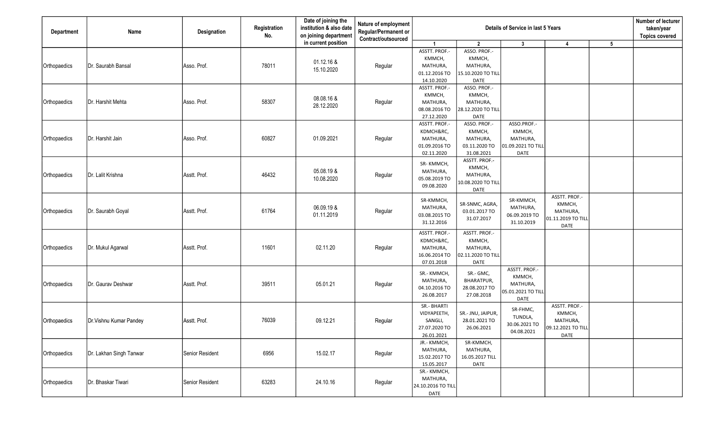| Department   | Name                    | Designation     | Registration<br>No. | Date of joining the<br>institution & also date<br>on joining department | Nature of employment<br>Regular/Permanent or<br>Contract/outsourced |                                                                        |                                                                    | Details of Service in last 5 Years                                 |                                                                    |                 | Number of lecturer<br>taken/year<br><b>Topics covered</b> |
|--------------|-------------------------|-----------------|---------------------|-------------------------------------------------------------------------|---------------------------------------------------------------------|------------------------------------------------------------------------|--------------------------------------------------------------------|--------------------------------------------------------------------|--------------------------------------------------------------------|-----------------|-----------------------------------------------------------|
|              |                         |                 |                     | in current position                                                     |                                                                     |                                                                        | $\overline{2}$                                                     | $\mathbf{3}$                                                       | $\overline{4}$                                                     | $5\phantom{.0}$ |                                                           |
| Orthopaedics | Dr. Saurabh Bansal      | Asso. Prof.     | 78011               | 01.12.16 &                                                              | Regular                                                             | ASSTT. PROF .-<br>KMMCH,<br>MATHURA,                                   | ASSO. PROF .-<br>KMMCH,<br>MATHURA,                                |                                                                    |                                                                    |                 |                                                           |
|              |                         |                 |                     | 15.10.2020                                                              |                                                                     | 01.12.2016 TO<br>14.10.2020<br>ASSTT. PROF .-                          | 15.10.2020 TO TILL<br><b>DATE</b><br>ASSO. PROF .-                 |                                                                    |                                                                    |                 |                                                           |
| Orthopaedics | Dr. Harshit Mehta       | Asso. Prof.     | 58307               | 08.08.16 &<br>28.12.2020                                                | Regular                                                             | KMMCH,<br>MATHURA,<br>08.08.2016 TO<br>27.12.2020                      | KMMCH,<br>MATHURA,<br>28.12.2020 TO TILL<br><b>DATE</b>            |                                                                    |                                                                    |                 |                                                           |
| Orthopaedics | Dr. Harshit Jain        | Asso. Prof.     | 60827               | 01.09.2021                                                              | Regular                                                             | ASSTT. PROF .-<br>KDMCH&RC,<br>MATHURA,<br>01.09.2016 TO<br>02.11.2020 | ASSO. PROF .-<br>KMMCH,<br>MATHURA,<br>03.11.2020 TO<br>31.08.2021 | ASSO.PROF .-<br>KMMCH,<br>MATHURA,<br>01.09.2021 TO TILL<br>DATE   |                                                                    |                 |                                                           |
| Orthopaedics | Dr. Lalit Krishna       | Asstt. Prof.    | 46432               | 05.08.19 &<br>10.08.2020                                                | Regular                                                             | SR-KMMCH,<br>MATHURA,<br>05.08.2019 TO<br>09.08.2020                   | ASSTT. PROF .-<br>KMMCH,<br>MATHURA,<br>10.08.2020 TO TILL<br>DATE |                                                                    |                                                                    |                 |                                                           |
| Orthopaedics | Dr. Saurabh Goyal       | Asstt. Prof.    | 61764               | 06.09.19 &<br>01.11.2019                                                | Regular                                                             | SR-KMMCH,<br>MATHURA,<br>03.08.2015 TO<br>31.12.2016                   | SR-SNMC, AGRA,<br>03.01.2017 TO<br>31.07.2017                      | SR-KMMCH,<br>MATHURA,<br>06.09.2019 TO<br>31.10.2019               | ASSTT. PROF.-<br>KMMCH,<br>MATHURA.<br>01.11.2019 TO TILL<br>DATE  |                 |                                                           |
| Orthopaedics | Dr. Mukul Agarwal       | Asstt. Prof.    | 11601               | 02.11.20                                                                | Regular                                                             | ASSTT. PROF .-<br>KDMCH&RC,<br>MATHURA,<br>16.06.2014 TO<br>07.01.2018 | ASSTT. PROF .-<br>KMMCH,<br>MATHURA,<br>02.11.2020 TO TILL<br>DATE |                                                                    |                                                                    |                 |                                                           |
| Orthopaedics | Dr. Gaurav Deshwar      | Asstt. Prof.    | 39511               | 05.01.21                                                                | Regular                                                             | SR.- KMMCH,<br>MATHURA,<br>04.10.2016 TO<br>26.08.2017                 | SR.- GMC,<br><b>BHARATPUR,</b><br>28.08.2017 TO<br>27.08.2018      | ASSTT. PROF .-<br>KMMCH,<br>MATHURA,<br>05.01.2021 TO TILL<br>DATE |                                                                    |                 |                                                           |
| Orthopaedics | Dr. Vishnu Kumar Pandey | Asstt. Prof.    | 76039               | 09.12.21                                                                | Regular                                                             | SR.- BHARTI<br>VIDYAPEETH,<br>SANGLI,<br>27.07.2020 TO<br>26.01.2021   | SR.- JNU, JAIPUR,<br>28.01.2021 TO<br>26.06.2021                   | SR-FHMC,<br>TUNDLA,<br>30.06.2021 TO<br>04.08.2021                 | ASSTT. PROF .-<br>KMMCH,<br>MATHURA,<br>09.12.2021 TO TILL<br>DATE |                 |                                                           |
| Orthopaedics | Dr. Lakhan Singh Tanwar | Senior Resident | 6956                | 15.02.17                                                                | Regular                                                             | JR.- KMMCH,<br>MATHURA,<br>15.02.2017 TO<br>15.05.2017                 | SR-KMMCH,<br>MATHURA,<br>16.05.2017 TILL<br>DATE                   |                                                                    |                                                                    |                 |                                                           |
| Orthopaedics | Dr. Bhaskar Tiwari      | Senior Resident | 63283               | 24.10.16                                                                | Regular                                                             | SR.- KMMCH,<br>MATHURA,<br>24.10.2016 TO TILL<br>DATE                  |                                                                    |                                                                    |                                                                    |                 |                                                           |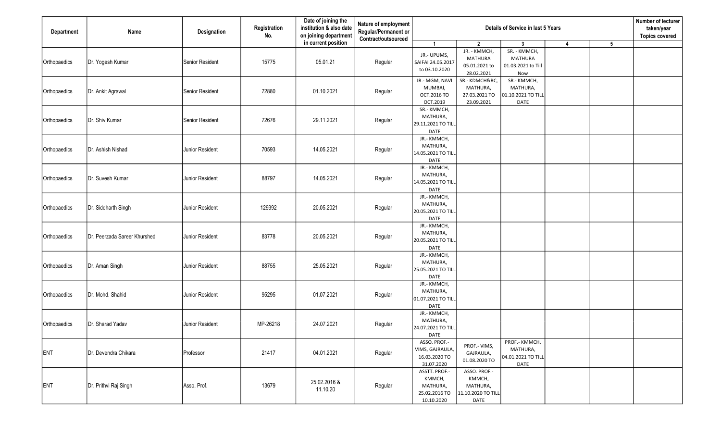| Department   | Name                         | Designation     | Registration<br>No. | Date of joining the<br>institution & also date<br>on joining department | Nature of employment<br>Regular/Permanent or<br>Contract/outsourced |                                                                     |                                                                   | Details of Service in last 5 Years                          |   |                 | Number of lecturer<br>taken/year<br><b>Topics covered</b> |
|--------------|------------------------------|-----------------|---------------------|-------------------------------------------------------------------------|---------------------------------------------------------------------|---------------------------------------------------------------------|-------------------------------------------------------------------|-------------------------------------------------------------|---|-----------------|-----------------------------------------------------------|
|              |                              |                 |                     | in current position                                                     |                                                                     | $\overline{1}$                                                      | $\overline{2}$                                                    | $\mathbf{3}$                                                | 4 | $5\overline{)}$ |                                                           |
| Orthopaedics | Dr. Yogesh Kumar             | Senior Resident | 15775               | 05.01.21                                                                | Regular                                                             | JR.- UPUMS,<br>SAIFAI 24.05.2017<br>to 03.10.2020                   | JR. - KMMCH,<br>MATHURA<br>05.01.2021 to<br>28.02.2021            | SR. - KMMCH,<br><b>MATHURA</b><br>01.03.2021 to Till<br>Now |   |                 |                                                           |
| Orthopaedics | Dr. Ankit Agrawal            | Senior Resident | 72880               | 01.10.2021                                                              | Regular                                                             | JR.- MGM, NAVI<br>MUMBAI,<br>OCT.2016 TO<br>OCT.2019                | SR.- KDMCH&RC,<br>MATHURA,<br>27.03.2021 TO<br>23.09.2021         | SR.- KMMCH,<br>MATHURA,<br>01.10.2021 TO TILL<br>DATE       |   |                 |                                                           |
| Orthopaedics | Dr. Shiv Kumar               | Senior Resident | 72676               | 29.11.2021                                                              | Regular                                                             | SR.- KMMCH,<br>MATHURA,<br>29.11.2021 TO TILL<br><b>DATE</b>        |                                                                   |                                                             |   |                 |                                                           |
| Orthopaedics | Dr. Ashish Nishad            | Junior Resident | 70593               | 14.05.2021                                                              | Regular                                                             | JR.- KMMCH,<br>MATHURA,<br>14.05.2021 TO TILL<br>DATE               |                                                                   |                                                             |   |                 |                                                           |
| Orthopaedics | Dr. Suvesh Kumar             | Junior Resident | 88797               | 14.05.2021                                                              | Regular                                                             | JR.- KMMCH,<br>MATHURA,<br>14.05.2021 TO TILL<br>DATE               |                                                                   |                                                             |   |                 |                                                           |
| Orthopaedics | Dr. Siddharth Singh          | Junior Resident | 129392              | 20.05.2021                                                              | Regular                                                             | JR.- KMMCH,<br>MATHURA,<br>20.05.2021 TO TILL<br>DATE               |                                                                   |                                                             |   |                 |                                                           |
| Orthopaedics | Dr. Peerzada Sareer Khurshed | Junior Resident | 83778               | 20.05.2021                                                              | Regular                                                             | JR.- KMMCH,<br>MATHURA,<br>20.05.2021 TO TILL<br>DATE               |                                                                   |                                                             |   |                 |                                                           |
| Orthopaedics | Dr. Aman Singh               | Junior Resident | 88755               | 25.05.2021                                                              | Regular                                                             | JR.- KMMCH,<br>MATHURA,<br>25.05.2021 TO TILL<br>DATE               |                                                                   |                                                             |   |                 |                                                           |
| Orthopaedics | Dr. Mohd. Shahid             | Junior Resident | 95295               | 01.07.2021                                                              | Regular                                                             | JR.- KMMCH,<br>MATHURA,<br>01.07.2021 TO TILL<br>DATE               |                                                                   |                                                             |   |                 |                                                           |
| Orthopaedics | Dr. Sharad Yadav             | Junior Resident | MP-26218            | 24.07.2021                                                              | Regular                                                             | JR.- KMMCH,<br>MATHURA,<br>24.07.2021 TO TILL<br>DATE               |                                                                   |                                                             |   |                 |                                                           |
| <b>ENT</b>   | Dr. Devendra Chikara         | Professor       | 21417               | 04.01.2021                                                              | Regular                                                             | ASSO. PROF.-<br>VIMS, GAJRAULA,<br>16.03.2020 TO<br>31.07.2020      | PROF .- VIMS,<br>GAJRAULA,<br>01.08.2020 TO                       | PROF.- KMMCH,<br>MATHURA,<br>04.01.2021 TO TILL<br>DATE     |   |                 |                                                           |
| ENT          | Dr. Prithvi Raj Singh        | Asso. Prof.     | 13679               | 25.02.2016 &<br>11.10.20                                                | Regular                                                             | ASSTT. PROF .-<br>KMMCH,<br>MATHURA,<br>25.02.2016 TO<br>10.10.2020 | ASSO. PROF .-<br>KMMCH,<br>MATHURA,<br>11.10.2020 TO TILL<br>DATE |                                                             |   |                 |                                                           |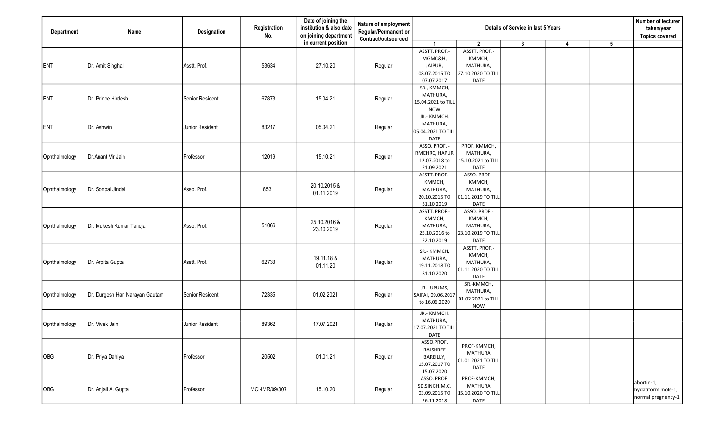| Department    | Name                            | Designation     | Registration<br>No. | Date of joining the<br>institution & also date<br>on joining department | Nature of employment<br>Regular/Permanent or<br>Contract/outsourced |                       |                    | Details of Service in last 5 Years |   |                 | Number of lecturer<br>taken/year<br><b>Topics covered</b> |
|---------------|---------------------------------|-----------------|---------------------|-------------------------------------------------------------------------|---------------------------------------------------------------------|-----------------------|--------------------|------------------------------------|---|-----------------|-----------------------------------------------------------|
|               |                                 |                 |                     | in current position                                                     |                                                                     | $\overline{1}$        | $\overline{2}$     | $\mathbf{3}$                       | 4 | $5\overline{)}$ |                                                           |
|               |                                 |                 |                     |                                                                         |                                                                     | ASSTT. PROF .-        | ASSTT. PROF .-     |                                    |   |                 |                                                           |
|               |                                 |                 |                     |                                                                         |                                                                     | MGMC&H,               | KMMCH,             |                                    |   |                 |                                                           |
| <b>ENT</b>    | Dr. Amit Singhal                | Asstt. Prof.    | 53634               | 27.10.20                                                                | Regular                                                             | JAIPUR,               | MATHURA,           |                                    |   |                 |                                                           |
|               |                                 |                 |                     |                                                                         |                                                                     | 08.07.2015 TO         | 27.10.2020 TO TILL |                                    |   |                 |                                                           |
|               |                                 |                 |                     |                                                                         |                                                                     | 07.07.2017            | DATE               |                                    |   |                 |                                                           |
|               |                                 |                 |                     |                                                                         |                                                                     | SR., KMMCH,           |                    |                                    |   |                 |                                                           |
| ENT           | Dr. Prince Hirdesh              | Senior Resident | 67873               | 15.04.21                                                                | Regular                                                             | MATHURA,              |                    |                                    |   |                 |                                                           |
|               |                                 |                 |                     |                                                                         |                                                                     | 15.04.2021 to TILL    |                    |                                    |   |                 |                                                           |
|               |                                 |                 |                     |                                                                         |                                                                     | <b>NOW</b>            |                    |                                    |   |                 |                                                           |
|               |                                 |                 |                     |                                                                         |                                                                     | JR.- KMMCH,           |                    |                                    |   |                 |                                                           |
| <b>ENT</b>    | Dr. Ashwini                     | Junior Resident | 83217               | 05.04.21                                                                | Regular                                                             | MATHURA,              |                    |                                    |   |                 |                                                           |
|               |                                 |                 |                     |                                                                         |                                                                     | 05.04.2021 TO TILL    |                    |                                    |   |                 |                                                           |
|               |                                 |                 |                     |                                                                         |                                                                     | DATE<br>ASSO. PROF. - | PROF. KMMCH,       |                                    |   |                 |                                                           |
|               |                                 |                 |                     |                                                                         |                                                                     | RMCHRC, HAPUR         | MATHURA,           |                                    |   |                 |                                                           |
| Ophthalmology | Dr.Anant Vir Jain               | Professor       | 12019               | 15.10.21                                                                | Regular                                                             | 12.07.2018 to         | 15.10.2021 to TILL |                                    |   |                 |                                                           |
|               |                                 |                 |                     |                                                                         |                                                                     | 21.09.2021            | <b>DATE</b>        |                                    |   |                 |                                                           |
|               |                                 |                 |                     |                                                                         |                                                                     | ASSTT. PROF .-        | ASSO. PROF .-      |                                    |   |                 |                                                           |
|               |                                 |                 |                     |                                                                         |                                                                     | KMMCH,                | KMMCH,             |                                    |   |                 |                                                           |
| Ophthalmology | Dr. Sonpal Jindal               | Asso. Prof.     | 8531                | 20.10.2015 &                                                            | Regular                                                             | MATHURA,              | MATHURA,           |                                    |   |                 |                                                           |
|               |                                 |                 |                     | 01.11.2019                                                              |                                                                     | 20.10.2015 TO         | 01.11.2019 TO TILL |                                    |   |                 |                                                           |
|               |                                 |                 |                     |                                                                         |                                                                     | 31.10.2019            | DATE               |                                    |   |                 |                                                           |
|               |                                 |                 |                     |                                                                         |                                                                     | ASSTT. PROF .-        | ASSO. PROF .-      |                                    |   |                 |                                                           |
|               |                                 |                 |                     |                                                                         |                                                                     | KMMCH,                | KMMCH,             |                                    |   |                 |                                                           |
| Ophthalmology | Dr. Mukesh Kumar Taneja         | Asso. Prof.     | 51066               | 25.10.2016 &                                                            | Regular                                                             | MATHURA,              | MATHURA,           |                                    |   |                 |                                                           |
|               |                                 |                 |                     | 23.10.2019                                                              |                                                                     | 25.10.2016 to         | 23.10.2019 TO TILL |                                    |   |                 |                                                           |
|               |                                 |                 |                     |                                                                         |                                                                     | 22.10.2019            | DATE               |                                    |   |                 |                                                           |
|               |                                 |                 |                     |                                                                         |                                                                     | SR.- KMMCH,           | ASSTT. PROF.-      |                                    |   |                 |                                                           |
|               |                                 |                 |                     | 19.11.18 &                                                              |                                                                     | MATHURA,              | KMMCH,             |                                    |   |                 |                                                           |
| Ophthalmology | Dr. Arpita Gupta                | Asstt. Prof.    | 62733               | 01.11.20                                                                | Regular                                                             | 19.11.2018 TO         | MATHURA,           |                                    |   |                 |                                                           |
|               |                                 |                 |                     |                                                                         |                                                                     | 31.10.2020            | 01.11.2020 TO TILL |                                    |   |                 |                                                           |
|               |                                 |                 |                     |                                                                         |                                                                     |                       | DATE               |                                    |   |                 |                                                           |
|               |                                 |                 |                     |                                                                         |                                                                     | JR. - UPUMS,          | SR.-KMMCH,         |                                    |   |                 |                                                           |
| Ophthalmology | Dr. Durgesh Hari Narayan Gautam | Senior Resident | 72335               | 01.02.2021                                                              | Regular                                                             | SAIFAI, 09.06.2017    | MATHURA,           |                                    |   |                 |                                                           |
|               |                                 |                 |                     |                                                                         |                                                                     | to 16.06.2020         | 01.02.2021 to TILL |                                    |   |                 |                                                           |
|               |                                 |                 |                     |                                                                         |                                                                     | JR.- KMMCH,           | <b>NOW</b>         |                                    |   |                 |                                                           |
|               |                                 |                 |                     |                                                                         |                                                                     | MATHURA,              |                    |                                    |   |                 |                                                           |
| Ophthalmology | Dr. Vivek Jain                  | Junior Resident | 89362               | 17.07.2021                                                              | Regular                                                             | 17.07.2021 TO TILL    |                    |                                    |   |                 |                                                           |
|               |                                 |                 |                     |                                                                         |                                                                     | DATE                  |                    |                                    |   |                 |                                                           |
|               |                                 |                 |                     |                                                                         |                                                                     | ASSO.PROF.            |                    |                                    |   |                 |                                                           |
|               |                                 |                 |                     |                                                                         |                                                                     | RAJSHREE              | PROF-KMMCH,        |                                    |   |                 |                                                           |
| OBG           | Dr. Priya Dahiya                | Professor       | 20502               | 01.01.21                                                                | Regular                                                             | BAREILLY,             | MATHURA            |                                    |   |                 |                                                           |
|               |                                 |                 |                     |                                                                         |                                                                     | 15.07.2017 TO         | 01.01.2021 TO TILL |                                    |   |                 |                                                           |
|               |                                 |                 |                     |                                                                         |                                                                     | 15.07.2020            | DATE               |                                    |   |                 |                                                           |
|               |                                 |                 |                     |                                                                         |                                                                     | ASSO. PROF.           | PROF-KMMCH,        |                                    |   |                 | abortin-1,                                                |
| OBG           | Dr. Anjali A. Gupta             | Professor       | MCI-IMR/09/307      | 15.10.20                                                                | Regular                                                             | SD.SINGH.M.C,         | MATHURA            |                                    |   |                 | hydatiform mole-1,                                        |
|               |                                 |                 |                     |                                                                         |                                                                     | 03.09.2015 TO         | 15.10.2020 TO TILL |                                    |   |                 | normal pregnency-1                                        |
|               |                                 |                 |                     |                                                                         |                                                                     | 26.11.2018            | DATE               |                                    |   |                 |                                                           |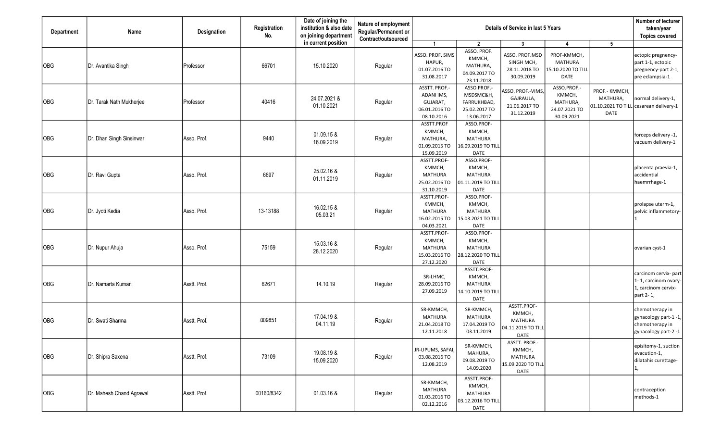| Department | Name                     | Designation  | Registration<br>No. | Date of joining the<br>institution & also date<br>on joining department | Nature of employment<br>Regular/Permanent or |                                                                         | Details of Service in last 5 Years<br>$\overline{2}$<br>$5\phantom{.0}$<br>$\overline{\mathbf{1}}$<br>$\mathbf{3}$<br>4<br>ASSO. PROF.<br>ASSO. PROF.MSD<br>PROF-KMMCH,<br>KMMCH, |                                                                          |                                                                  |                                                         | Number of lecturer<br>taken/year<br><b>Topics covered</b>                          |
|------------|--------------------------|--------------|---------------------|-------------------------------------------------------------------------|----------------------------------------------|-------------------------------------------------------------------------|-----------------------------------------------------------------------------------------------------------------------------------------------------------------------------------|--------------------------------------------------------------------------|------------------------------------------------------------------|---------------------------------------------------------|------------------------------------------------------------------------------------|
|            |                          |              |                     | in current position                                                     | Contract/outsourced                          |                                                                         |                                                                                                                                                                                   |                                                                          |                                                                  |                                                         |                                                                                    |
| OBG        | Dr. Avantika Singh       | Professor    | 66701               | 15.10.2020                                                              | Regular                                      | ASSO. PROF. SIMS<br>HAPUR,<br>01.07.2016 TO<br>31.08.2017               | MATHURA,<br>04.09.2017 TO<br>23.11.2018                                                                                                                                           | SINGH MCH,<br>28.11.2018 TO<br>30.09.2019                                | MATHURA<br>15.10.2020 TO TILL<br>DATE                            |                                                         | ectopic pregnency-<br>part 1-1, ectopic<br>pregnency-part 2-1,<br>pre eclampsia-1  |
| OBG        | Dr. Tarak Nath Mukherjee | Professor    | 40416               | 24.07.2021 &<br>01.10.2021                                              | Regular                                      | ASSTT. PROF .-<br>ADANI IMS,<br>GUJARAT,<br>06.01.2016 TO<br>08.10.2016 | ASSO.PROF .-<br>MSDSMC&H,<br>FARRUKHBAD,<br>25.02.2017 TO<br>13.06.2017                                                                                                           | ASSO. PROF.-VIMS,<br>GAJRAULA,<br>21.06.2017 TO<br>31.12.2019            | ASSO.PROF.-<br>KMMCH,<br>MATHURA,<br>24.07.2021 TO<br>30.09.2021 | PROF.- KMMCH,<br>MATHURA,<br>01.10.2021 TO TILL<br>DATE | normal delivery-1,<br>cesarean delivery-1                                          |
| OBG        | Dr. Dhan Singh Sinsinwar | Asso. Prof.  | 9440                | 01.09.15 &<br>16.09.2019                                                | Regular                                      | ASSTT.PROF<br>KMMCH,<br>MATHURA,<br>01.09.2015 TO<br>15.09.2019         | ASSO.PROF-<br>KMMCH,<br>MATHURA<br>16.09.2019 TO TILL<br>DATE                                                                                                                     |                                                                          |                                                                  |                                                         | forceps delivery -1,<br>vacuum delivery-1                                          |
| OBG        | Dr. Ravi Gupta           | Asso. Prof.  | 6697                | 25.02.16 &<br>01.11.2019                                                | Regular                                      | ASSTT.PROF-<br>KMMCH,<br><b>MATHURA</b><br>25.02.2016 TO<br>31.10.2019  | ASSO.PROF-<br>KMMCH,<br>MATHURA<br>01.11.2019 TO TILL<br>DATE                                                                                                                     |                                                                          |                                                                  |                                                         | placenta praevia-1,<br>accidential<br>haemrrhage-1                                 |
| OBG        | Dr. Jyoti Kedia          | Asso. Prof.  | 13-13188            | 16.02.15 &<br>05.03.21                                                  | Regular                                      | ASSTT.PROF-<br>KMMCH,<br><b>MATHURA</b><br>16.02.2015 TO<br>04.03.2021  | ASSO.PROF-<br>KMMCH,<br><b>MATHURA</b><br>15.03.2021 TO TILL<br>DATE                                                                                                              |                                                                          |                                                                  |                                                         | prolapse uterm-1,<br>pelvic inflammetory-                                          |
| OBG        | Dr. Nupur Ahuja          | Asso. Prof.  | 75159               | 15.03.16 &<br>28.12.2020                                                | Regular                                      | ASSTT.PROF-<br>KMMCH,<br><b>MATHURA</b><br>15.03.2016 TO<br>27.12.2020  | ASSO.PROF-<br>KMMCH,<br>MATHURA<br>28.12.2020 TO TILL<br>DATE                                                                                                                     |                                                                          |                                                                  |                                                         | ovarian cyst-1                                                                     |
| OBG        | Dr. Namarta Kumari       | Asstt. Prof. | 62671               | 14.10.19                                                                | Regular                                      | SR-LHMC,<br>28.09.2016 TO<br>27.09.2019                                 | ASSTT.PROF-<br>KMMCH,<br><b>MATHURA</b><br>14.10.2019 TO TILL<br>DATE                                                                                                             |                                                                          |                                                                  |                                                         | carcinom cervix- part<br>1-1, carcinom ovary-<br>1, carcinom cervix-<br>part 2-1,  |
| OBG        | Dr. Swati Sharma         | Asstt. Prof. | 009851              | 17.04.19 &<br>04.11.19                                                  | Regular                                      | SR-KMMCH,<br><b>MATHURA</b><br>21.04.2018 TO<br>12.11.2018              | SR-KMMCH,<br>MATHURA<br>17.04.2019 TO<br>03.11.2019                                                                                                                               | ASSTT.PROF-<br>KMMCH,<br><b>MATHURA</b><br>04.11.2019 TO TILL<br>DATE    |                                                                  |                                                         | chemotherapy in<br>gynacology part-1-1,<br>chemotherapy in<br>gynacology part-2 -1 |
| OBG        | Dr. Shipra Saxena        | Asstt. Prof. | 73109               | 19.08.19 &<br>15.09.2020                                                | Regular                                      | JR-UPUMS, SAFAI,<br>03.08.2016 TO<br>12.08.2019                         | SR-KMMCH,<br>MAHURA,<br>09.08.2019 TO<br>14.09.2020                                                                                                                               | ASSTT. PROF .-<br>KMMCH,<br><b>MATHURA</b><br>15.09.2020 TO TILL<br>DATE |                                                                  |                                                         | episitomy-1, suction<br>evacution-1,<br>dilatahis curettage-                       |
| OBG        | Dr. Mahesh Chand Agrawal | Asstt. Prof. | 00160/8342          | 01.03.16 &                                                              | Regular                                      | SR-KMMCH,<br><b>MATHURA</b><br>01.03.2016 TO<br>02.12.2016              | ASSTT.PROF-<br>KMMCH,<br>MATHURA<br>03.12.2016 TO TILL<br>DATE                                                                                                                    |                                                                          |                                                                  |                                                         | contraception<br>methods-1                                                         |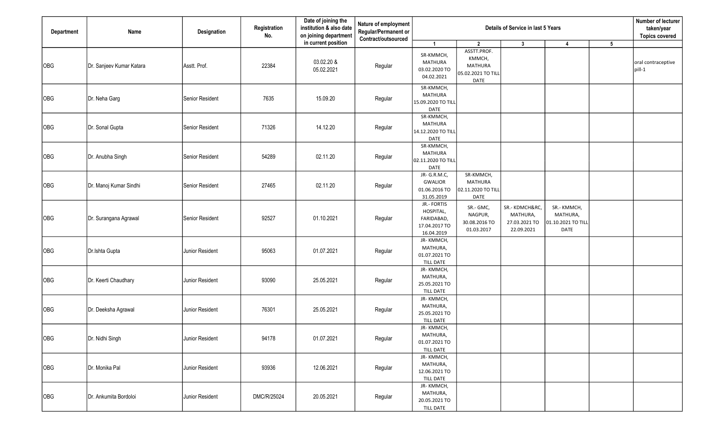| Department | Name                     | Designation     | Registration<br>No. | Date of joining the<br>institution & also date<br>on joining department | Nature of employment<br>Details of Service in last 5 Years<br>Regular/Permanent or<br>Contract/outsourced<br>$5\phantom{.0}$<br>$\overline{2}$<br>$\mathbf{3}$<br>$\overline{4}$<br>$\overline{1}$<br>ASSTT.PROF. |                                                                       |                                                           |                                                           | Number of lecturer<br>taken/year<br><b>Topics covered</b> |  |                              |
|------------|--------------------------|-----------------|---------------------|-------------------------------------------------------------------------|-------------------------------------------------------------------------------------------------------------------------------------------------------------------------------------------------------------------|-----------------------------------------------------------------------|-----------------------------------------------------------|-----------------------------------------------------------|-----------------------------------------------------------|--|------------------------------|
|            |                          |                 |                     | in current position                                                     |                                                                                                                                                                                                                   |                                                                       |                                                           |                                                           |                                                           |  |                              |
| OBG        | Dr. Sanjeev Kumar Katara | Asstt. Prof.    | 22384               | 03.02.20 &<br>05.02.2021                                                | Regular                                                                                                                                                                                                           | SR-KMMCH,<br>MATHURA<br>03.02.2020 TO<br>04.02.2021                   | KMMCH,<br>MATHURA<br>05.02.2021 TO TILL<br>DATE           |                                                           |                                                           |  | oral contraceptive<br>pill-1 |
| OBG        | Dr. Neha Garg            | Senior Resident | 7635                | 15.09.20                                                                | Regular                                                                                                                                                                                                           | SR-KMMCH,<br>MATHURA<br>15.09.2020 TO TILL<br>DATE                    |                                                           |                                                           |                                                           |  |                              |
| OBG        | Dr. Sonal Gupta          | Senior Resident | 71326               | 14.12.20                                                                | Regular                                                                                                                                                                                                           | SR-KMMCH,<br><b>MATHURA</b><br>14.12.2020 TO TILL<br>DATE             |                                                           |                                                           |                                                           |  |                              |
| OBG        | Dr. Anubha Singh         | Senior Resident | 54289               | 02.11.20                                                                | Regular                                                                                                                                                                                                           | SR-KMMCH,<br><b>MATHURA</b><br>02.11.2020 TO TILL<br><b>DATE</b>      |                                                           |                                                           |                                                           |  |                              |
| OBG        | Dr. Manoj Kumar Sindhi   | Senior Resident | 27465               | 02.11.20                                                                | Regular                                                                                                                                                                                                           | JR-G.R.M.C,<br><b>GWALIOR</b><br>01.06.2016 TO<br>31.05.2019          | SR-KMMCH,<br><b>MATHURA</b><br>02.11.2020 TO TILL<br>DATE |                                                           |                                                           |  |                              |
| OBG        | Dr. Surangana Agrawal    | Senior Resident | 92527               | 01.10.2021                                                              | Regular                                                                                                                                                                                                           | JR.- FORTIS<br>HOSPITAL,<br>FARIDABAD,<br>17.04.2017 TO<br>16.04.2019 | SR.- GMC,<br>NAGPUR,<br>30.08.2016 TO<br>01.03.2017       | SR.- KDMCH&RC,<br>MATHURA,<br>27.03.2021 TO<br>22.09.2021 | SR.- KMMCH,<br>MATHURA,<br>01.10.2021 TO TILL<br>DATE     |  |                              |
| OBG        | Dr.Ishta Gupta           | Junior Resident | 95063               | 01.07.2021                                                              | Regular                                                                                                                                                                                                           | JR-KMMCH,<br>MATHURA,<br>01.07.2021 TO<br><b>TILL DATE</b>            |                                                           |                                                           |                                                           |  |                              |
| OBG        | Dr. Keerti Chaudhary     | Junior Resident | 93090               | 25.05.2021                                                              | Regular                                                                                                                                                                                                           | JR-KMMCH,<br>MATHURA,<br>25.05.2021 TO<br><b>TILL DATE</b>            |                                                           |                                                           |                                                           |  |                              |
| OBG        | Dr. Deeksha Agrawal      | Junior Resident | 76301               | 25.05.2021                                                              | Regular                                                                                                                                                                                                           | JR-KMMCH,<br>MATHURA,<br>25.05.2021 TO<br><b>TILL DATE</b>            |                                                           |                                                           |                                                           |  |                              |
| OBG        | Dr. Nidhi Singh          | Junior Resident | 94178               | 01.07.2021                                                              | Regular                                                                                                                                                                                                           | JR-KMMCH,<br>MATHURA,<br>01.07.2021 TO<br><b>TILL DATE</b>            |                                                           |                                                           |                                                           |  |                              |
| OBG        | Dr. Monika Pal           | Junior Resident | 93936               | 12.06.2021                                                              | Regular                                                                                                                                                                                                           | JR-KMMCH,<br>MATHURA,<br>12.06.2021 TO<br><b>TILL DATE</b>            |                                                           |                                                           |                                                           |  |                              |
| OBG        | Dr. Ankumita Bordoloi    | Junior Resident | DMC/R/25024         | 20.05.2021                                                              | Regular                                                                                                                                                                                                           | JR-KMMCH,<br>MATHURA,<br>20.05.2021 TO<br><b>TILL DATE</b>            |                                                           |                                                           |                                                           |  |                              |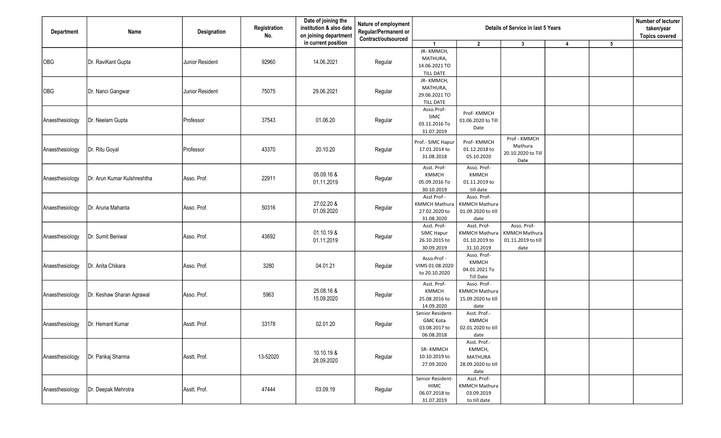| Name<br>Designation<br>Department |                             |                 | Registration<br>No. | Date of joining the<br>institution & also date<br>on joining department | Nature of employment<br>Regular/Permanent or<br>Contract/outsourced | Details of Service in last 5 Years                                 |                                                                    |                                                                   |   |                | Number of lecturer<br>taken/year<br><b>Topics covered</b> |
|-----------------------------------|-----------------------------|-----------------|---------------------|-------------------------------------------------------------------------|---------------------------------------------------------------------|--------------------------------------------------------------------|--------------------------------------------------------------------|-------------------------------------------------------------------|---|----------------|-----------------------------------------------------------|
|                                   |                             |                 |                     | in current position                                                     |                                                                     | $\overline{1}$                                                     | $\overline{2}$                                                     | $\mathbf{3}$                                                      | 4 | 5 <sub>5</sub> |                                                           |
| OBG                               | Dr. RaviKant Gupta          | Junior Resident | 92960               | 14.06.2021                                                              | Regular                                                             | JR-KMMCH,<br>MATHURA,<br>14.06.2021 TO<br><b>TILL DATE</b>         |                                                                    |                                                                   |   |                |                                                           |
| OBG                               | Dr. Nanci Gangwar           | Junior Resident | 75075               | 29.06.2021                                                              | Regular                                                             | JR-KMMCH,<br>MATHURA,<br>29.06.2021 TO<br><b>TILL DATE</b>         |                                                                    |                                                                   |   |                |                                                           |
| Anaesthesiology                   | Dr. Neelam Gupta            | Professor       | 37543               | 01.06.20                                                                | Regular                                                             | Asso.Prof-<br>SIMC<br>03.11.2016 To<br>31.07.2019                  | Prof-KMMCH<br>01.06.2020 to Till<br>Date                           |                                                                   |   |                |                                                           |
| Anaesthesiology                   | Dr. Ritu Goyal              | Professor       | 43370               | 20.10.20                                                                | Regular                                                             | Prof.- SIMC Hapur<br>17.01.2014 to<br>31.08.2018                   | Prof-KMMCH<br>01.12.2018 to<br>05.10.2020                          | Prof - KMMCH<br>Mathura<br>20.10.2020 to Till<br>Date             |   |                |                                                           |
| Anaesthesiology                   | Dr. Arun Kumar Kulshreshtha | Asso. Prof.     | 22911               | 05.09.16 &<br>01.11.2019                                                | Regular                                                             | Asst. Prof-<br><b>KMMCH</b><br>05.09.2016 To<br>30.10.2019         | Asso. Prof-<br><b>KMMCH</b><br>01.11.2019 to<br>till date          |                                                                   |   |                |                                                           |
| Anaesthesiology                   | Dr. Aruna Mahanta           | Asso. Prof.     | 50316               | 27.02.20 &<br>01.09.2020                                                | Regular                                                             | Asst Prof -<br><b>KMMCH Mathura</b><br>27.02.2020 to<br>31.08.2020 | Asso. Prof-<br><b>KMMCH Mathura</b><br>01.09.2020 to till<br>date  |                                                                   |   |                |                                                           |
| Anaesthesiology                   | Dr. Sumit Beniwal           | Asso. Prof.     | 43692               | 01.10.19 &<br>01.11.2019                                                | Regular                                                             | Asst. Prof-<br>SIMC Hapur<br>26.10.2015 to<br>30.09.2019           | Asst. Prof-<br><b>KMMCH Mathura</b><br>01.10.2019 to<br>31.10.2019 | Asso. Prof-<br><b>KMMCH Mathura</b><br>01.11.2019 to till<br>date |   |                |                                                           |
| Anaesthesiology                   | Dr. Anita Chikara           | Asso. Prof.     | 3280                | 04.01.21                                                                | Regular                                                             | Asso.Prof -<br>VIMS 01.08.2020<br>to 20.10.2020                    | Asso. Prof-<br>KMMCH<br>04.01.2021 To<br><b>Till Date</b>          |                                                                   |   |                |                                                           |
| Anaesthesiology                   | Dr. Keshaw Sharan Agrawal   | Asso. Prof.     | 5963                | 25.08.16 &<br>15.09.2020                                                | Regular                                                             | Asst. Prof-<br><b>KMMCH</b><br>25.08.2016 to<br>14.09.2020         | Asso. Prof-<br><b>KMMCH Mathura</b><br>15.09.2020 to till<br>date  |                                                                   |   |                |                                                           |
| Anaesthesiology                   | Dr. Hemant Kumar            | Asstt. Prof.    | 33178               | 02.01.20                                                                | Regular                                                             | Senior Resident-<br><b>GMC Kota</b><br>03.08.2017 to<br>06.08.2018 | Asst. Prof.-<br><b>KMMCH</b><br>02.01.2020 to till<br>date         |                                                                   |   |                |                                                           |
| Anaesthesiology                   | Dr. Pankaj Sharma           | Asstt. Prof.    | 13-52020            | 10.10.19 &<br>28.09.2020                                                | Regular                                                             | SR-KMMCH<br>10.10.2019 to<br>27.09.2020                            | Asst. Prof.-<br>KMMCH,<br>MATHURA<br>28.09.2020 to till<br>date    |                                                                   |   |                |                                                           |
| Anaesthesiology                   | Dr. Deepak Mehrotra         | Asstt. Prof.    | 47444               | 03.09.19                                                                | Regular                                                             | Senior Resident-<br>HIMC<br>06.07.2018 to<br>31.07.2019            | Asst. Prof-<br>KMMCH Mathura<br>03.09.2019<br>to till date         |                                                                   |   |                |                                                           |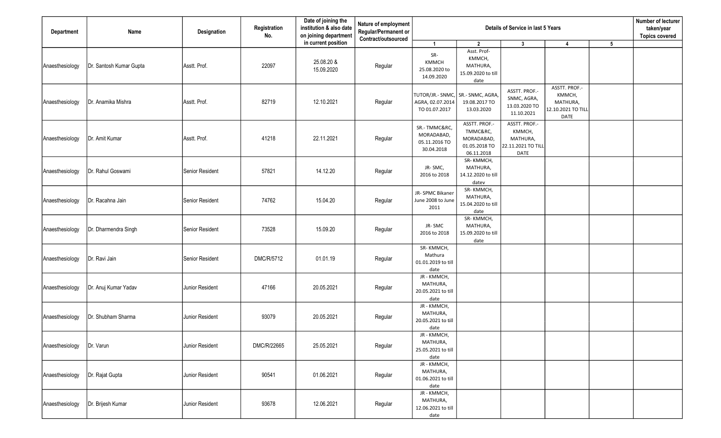| Department      | Name                    | Designation     | Registration<br>No. | Date of joining the<br>institution & also date<br>on joining department | Nature of employment<br>Regular/Permanent or<br>Contract/outsourced | Details of Service in last 5 Years                                                                                                    | Number of lecturer<br>taken/year<br><b>Topics covered</b>         |                                                                    |                 |  |
|-----------------|-------------------------|-----------------|---------------------|-------------------------------------------------------------------------|---------------------------------------------------------------------|---------------------------------------------------------------------------------------------------------------------------------------|-------------------------------------------------------------------|--------------------------------------------------------------------|-----------------|--|
|                 |                         |                 |                     | in current position                                                     |                                                                     | $\overline{2}$                                                                                                                        | $\mathbf{3}$                                                      | 4                                                                  | $5\phantom{.0}$ |  |
| Anaesthesiology | Dr. Santosh Kumar Gupta | Asstt. Prof.    | 22097               | 25.08.20 &<br>15.09.2020                                                | Regular                                                             | Asst. Prof-<br>SR-<br>KMMCH,<br><b>KMMCH</b><br>MATHURA,<br>25.08.2020 to<br>15.09.2020 to till<br>14.09.2020<br>date                 |                                                                   |                                                                    |                 |  |
| Anaesthesiology | Dr. Anamika Mishra      | Asstt. Prof.    | 82719               | 12.10.2021                                                              | Regular                                                             | TUTOR/JR.- SNMC, SR.- SNMC, AGRA,<br>AGRA, 02.07.2014<br>19.08.2017 TO<br>TO 01.07.2017<br>13.03.2020                                 | ASSTT. PROF.-<br>SNMC, AGRA,<br>13.03.2020 TO<br>11.10.2021       | ASSTT. PROF .-<br>KMMCH,<br>MATHURA,<br>12.10.2021 TO TILL<br>DATE |                 |  |
| Anaesthesiology | Dr. Amit Kumar          | Asstt. Prof.    | 41218               | 22.11.2021                                                              | Regular                                                             | ASSTT. PROF .-<br>SR.- TMMC&RC,<br>TMMC&RC,<br>MORADABAD,<br>MORADABAD,<br>05.11.2016 TO<br>01.05.2018 TO<br>30.04.2018<br>06.11.2018 | ASSTT. PROF.-<br>KMMCH,<br>MATHURA,<br>22.11.2021 TO TILL<br>DATE |                                                                    |                 |  |
| Anaesthesiology | Dr. Rahul Goswami       | Senior Resident | 57821               | 14.12.20                                                                | Regular                                                             | SR-KMMCH,<br>JR-SMC,<br>MATHURA,<br>14.12.2020 to till<br>2016 to 2018<br>datev                                                       |                                                                   |                                                                    |                 |  |
| Anaesthesiology | Dr. Racahna Jain        | Senior Resident | 74762               | 15.04.20                                                                | Regular                                                             | SR-KMMCH,<br>JR-SPMC Bikaner<br>MATHURA,<br>June 2008 to June<br>15.04.2020 to till<br>2011<br>date                                   |                                                                   |                                                                    |                 |  |
| Anaesthesiology | Dr. Dharmendra Singh    | Senior Resident | 73528               | 15.09.20                                                                | Regular                                                             | SR-KMMCH,<br>JR-SMC<br>MATHURA,<br>15.09.2020 to till<br>2016 to 2018<br>date                                                         |                                                                   |                                                                    |                 |  |
| Anaesthesiology | Dr. Ravi Jain           | Senior Resident | DMC/R/5712          | 01.01.19                                                                | Regular                                                             | SR-KMMCH,<br>Mathura<br>01.01.2019 to till<br>date                                                                                    |                                                                   |                                                                    |                 |  |
| Anaesthesiology | Dr. Anuj Kumar Yadav    | Junior Resident | 47166               | 20.05.2021                                                              | Regular                                                             | JR - KMMCH,<br>MATHURA,<br>20.05.2021 to till<br>date                                                                                 |                                                                   |                                                                    |                 |  |
| Anaesthesiology | Dr. Shubham Sharma      | Junior Resident | 93079               | 20.05.2021                                                              | Regular                                                             | JR - KMMCH,<br>MATHURA,<br>20.05.2021 to till<br>date                                                                                 |                                                                   |                                                                    |                 |  |
| Anaesthesiology | Dr. Varun               | Junior Resident | DMC/R/22665         | 25.05.2021                                                              | Regular                                                             | JR - KMMCH,<br>MATHURA,<br>25.05.2021 to till<br>date                                                                                 |                                                                   |                                                                    |                 |  |
| Anaesthesiology | Dr. Rajat Gupta         | Junior Resident | 90541               | 01.06.2021                                                              | Regular                                                             | JR - KMMCH,<br>MATHURA,<br>01.06.2021 to till<br>date                                                                                 |                                                                   |                                                                    |                 |  |
| Anaesthesiology | Dr. Brijesh Kumar       | Junior Resident | 93678               | 12.06.2021                                                              | Regular                                                             | JR - KMMCH,<br>MATHURA,<br>12.06.2021 to till<br>date                                                                                 |                                                                   |                                                                    |                 |  |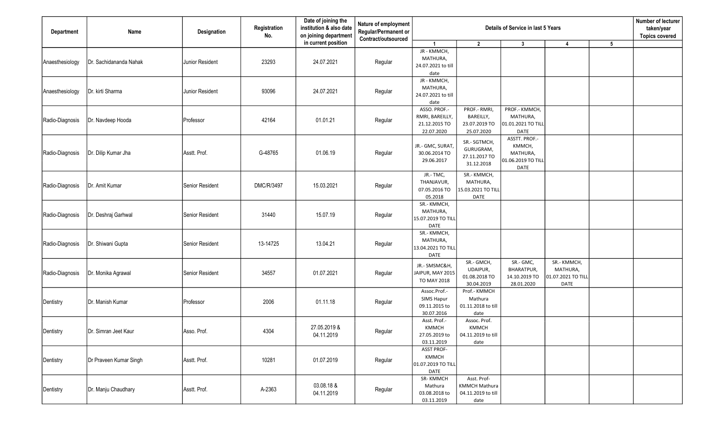| Department      | Name                   | Designation     | Registration<br>No. | Date of joining the<br>institution & also date<br>on joining department | Nature of employment<br>Regular/Permanent or<br>Contract/outsourced | Details of Service in last 5 Years                              |                                                                   |                                                                   |                                                       |                 | Number of lecturer<br>taken/year<br><b>Topics covered</b> |
|-----------------|------------------------|-----------------|---------------------|-------------------------------------------------------------------------|---------------------------------------------------------------------|-----------------------------------------------------------------|-------------------------------------------------------------------|-------------------------------------------------------------------|-------------------------------------------------------|-----------------|-----------------------------------------------------------|
|                 |                        |                 |                     | in current position                                                     |                                                                     |                                                                 | $\overline{2}$                                                    | $\mathbf{3}$                                                      | 4                                                     | $5\phantom{.0}$ |                                                           |
| Anaesthesiology | Dr. Sachidananda Nahak | Junior Resident | 23293               | 24.07.2021                                                              | Regular                                                             | JR - KMMCH,<br>MATHURA,<br>24.07.2021 to till<br>date           |                                                                   |                                                                   |                                                       |                 |                                                           |
| Anaesthesiology | Dr. kirti Sharma       | Junior Resident | 93096               | 24.07.2021                                                              | Regular                                                             | JR - KMMCH,<br>MATHURA,<br>24.07.2021 to till<br>date           |                                                                   |                                                                   |                                                       |                 |                                                           |
| Radio-Diagnosis | Dr. Navdeep Hooda      | Professor       | 42164               | 01.01.21                                                                | Regular                                                             | ASSO. PROF .-<br>RMRI, BAREILLY,<br>21.12.2015 TO<br>22.07.2020 | PROF.- RMRI<br>BAREILLY,<br>23.07.2019 TO<br>25.07.2020           | PROF.- KMMCH,<br>MATHURA,<br>01.01.2021 TO TILL<br>DATE           |                                                       |                 |                                                           |
| Radio-Diagnosis | Dr. Dilip Kumar Jha    | Asstt. Prof.    | G-48765             | 01.06.19                                                                | Regular                                                             | JR.- GMC, SURAT,<br>30.06.2014 TO<br>29.06.2017                 | SR.- SGTMCH,<br>GURUGRAM,<br>27.11.2017 TO<br>31.12.2018          | ASSTT. PROF.-<br>KMMCH,<br>MATHURA,<br>01.06.2019 TO TILL<br>DATE |                                                       |                 |                                                           |
| Radio-Diagnosis | Dr. Amit Kumar         | Senior Resident | DMC/R/3497          | 15.03.2021                                                              | Regular                                                             | JR.-TMC,<br>THANJAVUR,<br>07.05.2016 TO<br>05.2018              | SR.- KMMCH,<br>MATHURA,<br>15.03.2021 TO TILL<br>DATE             |                                                                   |                                                       |                 |                                                           |
| Radio-Diagnosis | Dr. Deshraj Garhwal    | Senior Resident | 31440               | 15.07.19                                                                | Regular                                                             | SR.- KMMCH,<br>MATHURA,<br>15.07.2019 TO TILL<br><b>DATE</b>    |                                                                   |                                                                   |                                                       |                 |                                                           |
| Radio-Diagnosis | Dr. Shiwani Gupta      | Senior Resident | 13-14725            | 13.04.21                                                                | Regular                                                             | SR.- KMMCH,<br>MATHURA,<br>13.04.2021 TO TILL<br>DATE           |                                                                   |                                                                   |                                                       |                 |                                                           |
| Radio-Diagnosis | Dr. Monika Agrawal     | Senior Resident | 34557               | 01.07.2021                                                              | Regular                                                             | JR.- SMSMC&H,<br>JAIPUR, MAY 2015<br><b>TO MAY 2018</b>         | SR.- GMCH,<br>UDAIPUR,<br>01.08.2018 TO<br>30.04.2019             | SR.- GMC,<br><b>BHARATPUR,</b><br>14.10.2019 TO<br>28.01.2020     | SR.- KMMCH,<br>MATHURA,<br>01.07.2021 TO TILL<br>DATE |                 |                                                           |
| Dentistry       | Dr. Manish Kumar       | Professor       | 2006                | 01.11.18                                                                | Regular                                                             | Assoc.Prof .-<br>SIMS Hapur<br>09.11.2015 to<br>30.07.2016      | Prof.- KMMCH<br>Mathura<br>01.11.2018 to till<br>date             |                                                                   |                                                       |                 |                                                           |
| Dentistry       | Dr. Simran Jeet Kaur   | Asso. Prof.     | 4304                | 27.05.2019 &<br>04.11.2019                                              | Regular                                                             | Asst. Prof.-<br><b>KMMCH</b><br>27.05.2019 to<br>03.11.2019     | Assoc. Prof.<br><b>KMMCH</b><br>04.11.2019 to till<br>date        |                                                                   |                                                       |                 |                                                           |
| Dentistry       | Dr Praveen Kumar Singh | Asstt. Prof.    | 10281               | 01.07.2019                                                              | Regular                                                             | <b>ASST PROF-</b><br><b>KMMCH</b><br>01.07.2019 TO TILL<br>DATE |                                                                   |                                                                   |                                                       |                 |                                                           |
| Dentistry       | Dr. Manju Chaudhary    | Asstt. Prof.    | A-2363              | 03.08.18 &<br>04.11.2019                                                | Regular                                                             | SR-KMMCH<br>Mathura<br>03.08.2018 to<br>03.11.2019              | Asst. Prof-<br><b>KMMCH Mathura</b><br>04.11.2019 to till<br>date |                                                                   |                                                       |                 |                                                           |